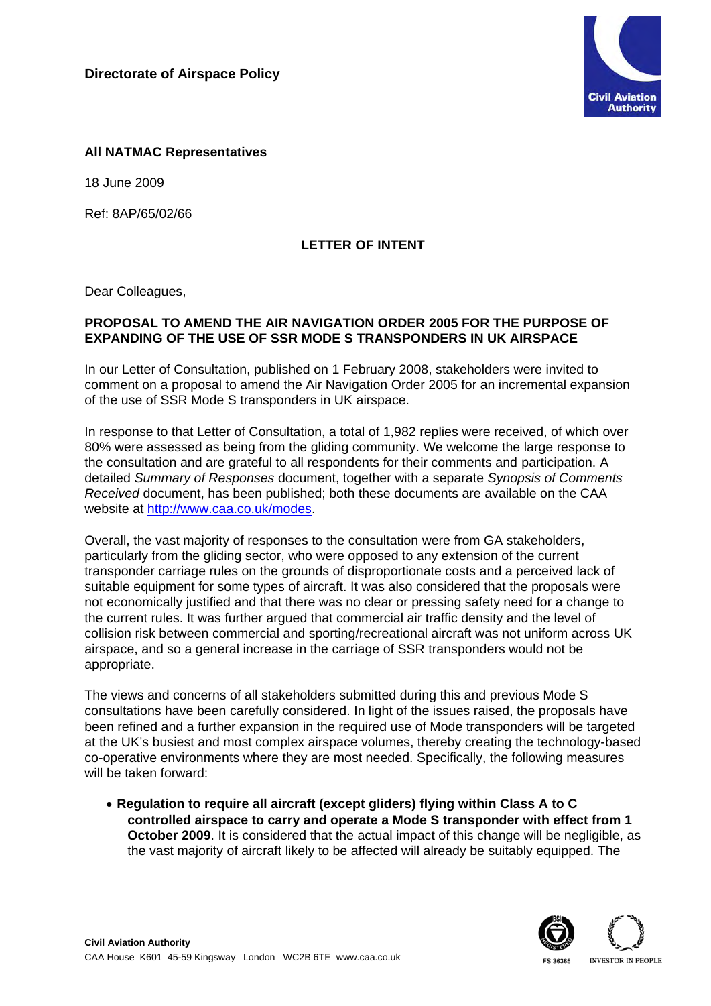

### **All NATMAC Representatives**

18 June 2009

Ref: 8AP/65/02/66

# **LETTER OF INTENT**

Dear Colleagues,

## **PROPOSAL TO AMEND THE AIR NAVIGATION ORDER 2005 FOR THE PURPOSE OF EXPANDING OF THE USE OF SSR MODE S TRANSPONDERS IN UK AIRSPACE**

In our Letter of Consultation, published on 1 February 2008, stakeholders were invited to comment on a proposal to amend the Air Navigation Order 2005 for an incremental expansion of the use of SSR Mode S transponders in UK airspace.

In response to that Letter of Consultation, a total of 1,982 replies were received, of which over 80% were assessed as being from the gliding community. We welcome the large response to the consultation and are grateful to all respondents for their comments and participation. A detailed *Summary of Responses* document, together with a separate *Synopsis of Comments Received* document, has been published; both these documents are available on the CAA website at<http://www.caa.co.uk/modes>.

Overall, the vast majority of responses to the consultation were from GA stakeholders, particularly from the gliding sector, who were opposed to any extension of the current transponder carriage rules on the grounds of disproportionate costs and a perceived lack of suitable equipment for some types of aircraft. It was also considered that the proposals were not economically justified and that there was no clear or pressing safety need for a change to the current rules. It was further argued that commercial air traffic density and the level of collision risk between commercial and sporting/recreational aircraft was not uniform across UK airspace, and so a general increase in the carriage of SSR transponders would not be appropriate.

The views and concerns of all stakeholders submitted during this and previous Mode S consultations have been carefully considered. In light of the issues raised, the proposals have been refined and a further expansion in the required use of Mode transponders will be targeted at the UK's busiest and most complex airspace volumes, thereby creating the technology-based co-operative environments where they are most needed. Specifically, the following measures will be taken forward:

• **Regulation to require all aircraft (except gliders) flying within Class A to C controlled airspace to carry and operate a Mode S transponder with effect from 1 October 2009**. It is considered that the actual impact of this change will be negligible, as the vast majority of aircraft likely to be affected will already be suitably equipped. The

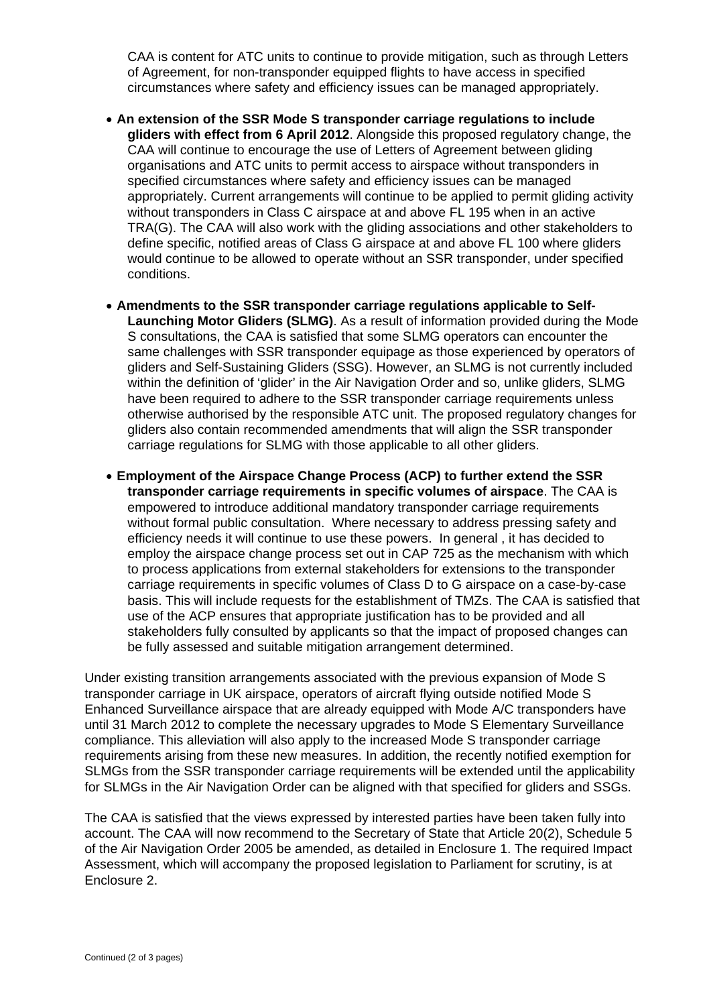CAA is content for ATC units to continue to provide mitigation, such as through Letters of Agreement, for non-transponder equipped flights to have access in specified circumstances where safety and efficiency issues can be managed appropriately.

- **An extension of the SSR Mode S transponder carriage regulations to include gliders with effect from 6 April 2012**. Alongside this proposed regulatory change, the CAA will continue to encourage the use of Letters of Agreement between gliding organisations and ATC units to permit access to airspace without transponders in specified circumstances where safety and efficiency issues can be managed appropriately. Current arrangements will continue to be applied to permit gliding activity without transponders in Class C airspace at and above FL 195 when in an active TRA(G). The CAA will also work with the gliding associations and other stakeholders to define specific, notified areas of Class G airspace at and above FL 100 where gliders would continue to be allowed to operate without an SSR transponder, under specified conditions.
- **Amendments to the SSR transponder carriage regulations applicable to Self-Launching Motor Gliders (SLMG)**. As a result of information provided during the Mode S consultations, the CAA is satisfied that some SLMG operators can encounter the same challenges with SSR transponder equipage as those experienced by operators of gliders and Self-Sustaining Gliders (SSG). However, an SLMG is not currently included within the definition of 'glider' in the Air Navigation Order and so, unlike gliders, SLMG have been required to adhere to the SSR transponder carriage requirements unless otherwise authorised by the responsible ATC unit. The proposed regulatory changes for gliders also contain recommended amendments that will align the SSR transponder carriage regulations for SLMG with those applicable to all other gliders.
- **Employment of the Airspace Change Process (ACP) to further extend the SSR transponder carriage requirements in specific volumes of airspace**. The CAA is empowered to introduce additional mandatory transponder carriage requirements without formal public consultation. Where necessary to address pressing safety and efficiency needs it will continue to use these powers. In general , it has decided to employ the airspace change process set out in CAP 725 as the mechanism with which to process applications from external stakeholders for extensions to the transponder carriage requirements in specific volumes of Class D to G airspace on a case-by-case basis. This will include requests for the establishment of TMZs. The CAA is satisfied that use of the ACP ensures that appropriate justification has to be provided and all stakeholders fully consulted by applicants so that the impact of proposed changes can be fully assessed and suitable mitigation arrangement determined.

Under existing transition arrangements associated with the previous expansion of Mode S transponder carriage in UK airspace, operators of aircraft flying outside notified Mode S Enhanced Surveillance airspace that are already equipped with Mode A/C transponders have until 31 March 2012 to complete the necessary upgrades to Mode S Elementary Surveillance compliance. This alleviation will also apply to the increased Mode S transponder carriage requirements arising from these new measures. In addition, the recently notified exemption for SLMGs from the SSR transponder carriage requirements will be extended until the applicability for SLMGs in the Air Navigation Order can be aligned with that specified for gliders and SSGs.

The CAA is satisfied that the views expressed by interested parties have been taken fully into account. The CAA will now recommend to the Secretary of State that Article 20(2), Schedule 5 of the Air Navigation Order 2005 be amended, as detailed in Enclosure 1. The required Impact Assessment, which will accompany the proposed legislation to Parliament for scrutiny, is at Enclosure 2.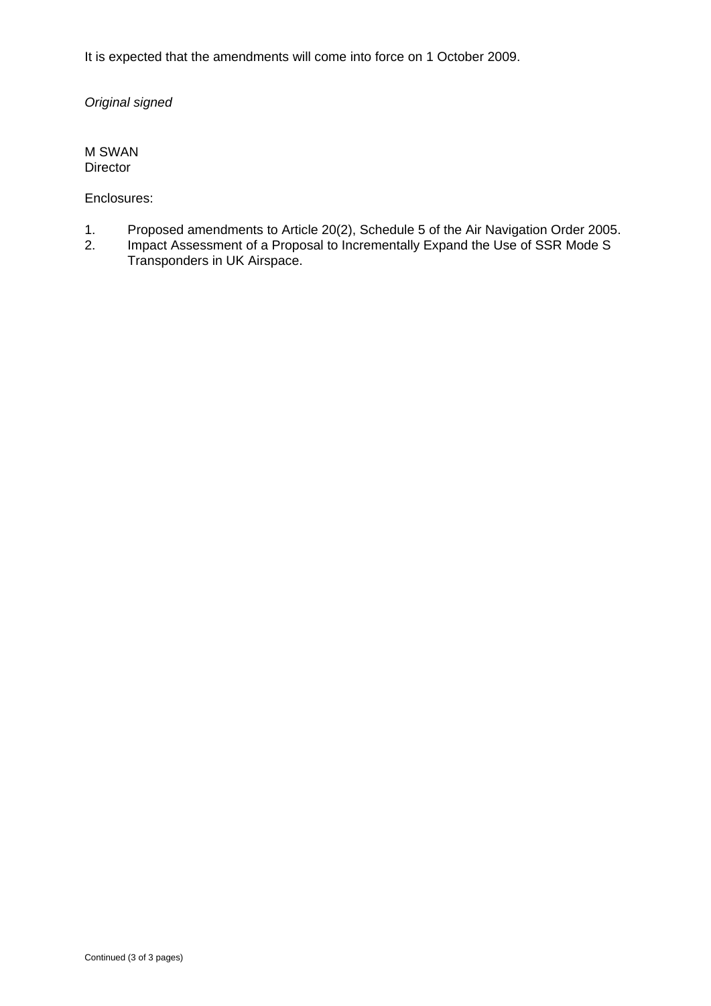It is expected that the amendments will come into force on 1 October 2009.

*Original signed* 

M SWAN **Director** 

Enclosures:

- 1. Proposed amendments to Article 20(2), Schedule 5 of the Air Navigation Order 2005.
- 2. Impact Assessment of a Proposal to Incrementally Expand the Use of SSR Mode S Transponders in UK Airspace.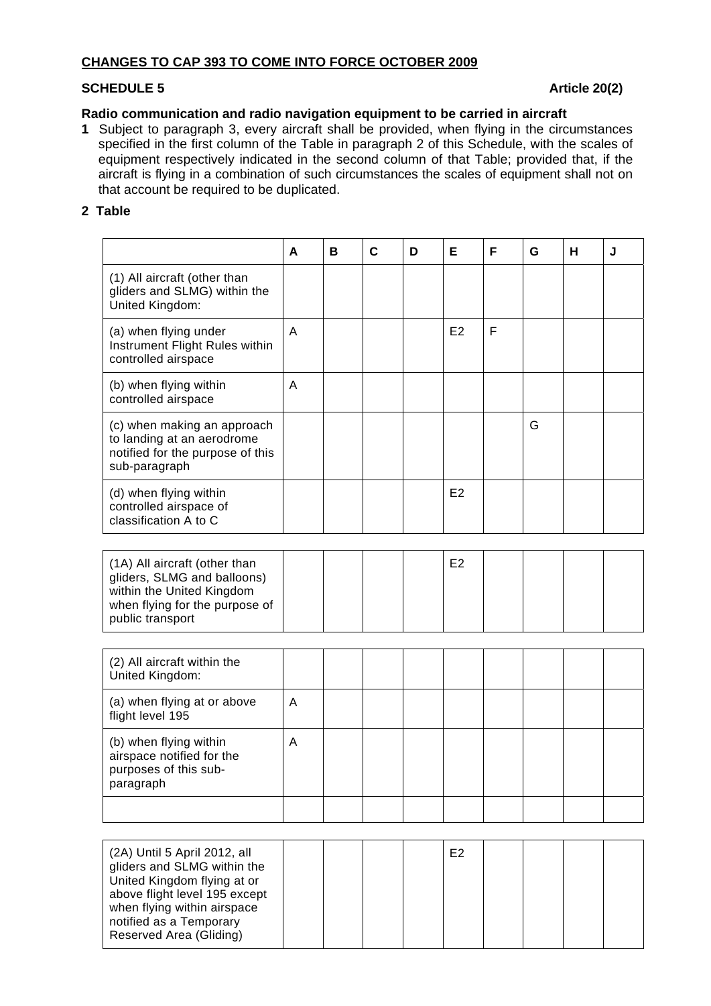#### **CHANGES TO CAP 393 TO COME INTO FORCE OCTOBER 2009**

#### **SCHEDULE 5** Article 20(2)

#### **Radio communication and radio navigation equipment to be carried in aircraft**

**1** Subject to paragraph 3, every aircraft shall be provided, when flying in the circumstances specified in the first column of the Table in paragraph 2 of this Schedule, with the scales of equipment respectively indicated in the second column of that Table; provided that, if the aircraft is flying in a combination of such circumstances the scales of equipment shall not on that account be required to be duplicated.

#### **2 Table**

|                                                                                                                                                 | A | В | $\mathbf c$ | D | Е              | F | G | н | J |
|-------------------------------------------------------------------------------------------------------------------------------------------------|---|---|-------------|---|----------------|---|---|---|---|
| (1) All aircraft (other than<br>gliders and SLMG) within the<br>United Kingdom:                                                                 |   |   |             |   |                |   |   |   |   |
| (a) when flying under<br>Instrument Flight Rules within<br>controlled airspace                                                                  | Α |   |             |   | E <sub>2</sub> | F |   |   |   |
| (b) when flying within<br>controlled airspace                                                                                                   | A |   |             |   |                |   |   |   |   |
| (c) when making an approach<br>to landing at an aerodrome<br>notified for the purpose of this<br>sub-paragraph                                  |   |   |             |   |                |   | G |   |   |
| (d) when flying within<br>controlled airspace of<br>classification A to C                                                                       |   |   |             |   | E <sub>2</sub> |   |   |   |   |
|                                                                                                                                                 |   |   |             |   |                |   |   |   |   |
| (1A) All aircraft (other than<br>gliders, SLMG and balloons)<br>within the United Kingdom<br>when flying for the purpose of<br>public transport |   |   |             |   | E2             |   |   |   |   |
|                                                                                                                                                 |   |   |             |   |                |   |   |   |   |
| (2) All aircraft within the<br>United Kingdom:                                                                                                  |   |   |             |   |                |   |   |   |   |
| (a) when flying at or above<br>flight level 195                                                                                                 | Α |   |             |   |                |   |   |   |   |
| (b) when flying within<br>airspace notified for the<br>purposes of this sub-<br>paragraph                                                       | A |   |             |   |                |   |   |   |   |
|                                                                                                                                                 |   |   |             |   |                |   |   |   |   |
|                                                                                                                                                 |   |   |             |   |                |   |   |   |   |
| $(2\lambda)$ llotil E April 2012 oll                                                                                                            |   |   |             |   | <b>CO</b>      |   |   |   |   |

| (2A) Until 5 April 2012, all  |  |  | E <sub>2</sub> |  |  |
|-------------------------------|--|--|----------------|--|--|
| gliders and SLMG within the   |  |  |                |  |  |
| United Kingdom flying at or   |  |  |                |  |  |
| above flight level 195 except |  |  |                |  |  |
| when flying within airspace   |  |  |                |  |  |
| notified as a Temporary       |  |  |                |  |  |
| Reserved Area (Gliding)       |  |  |                |  |  |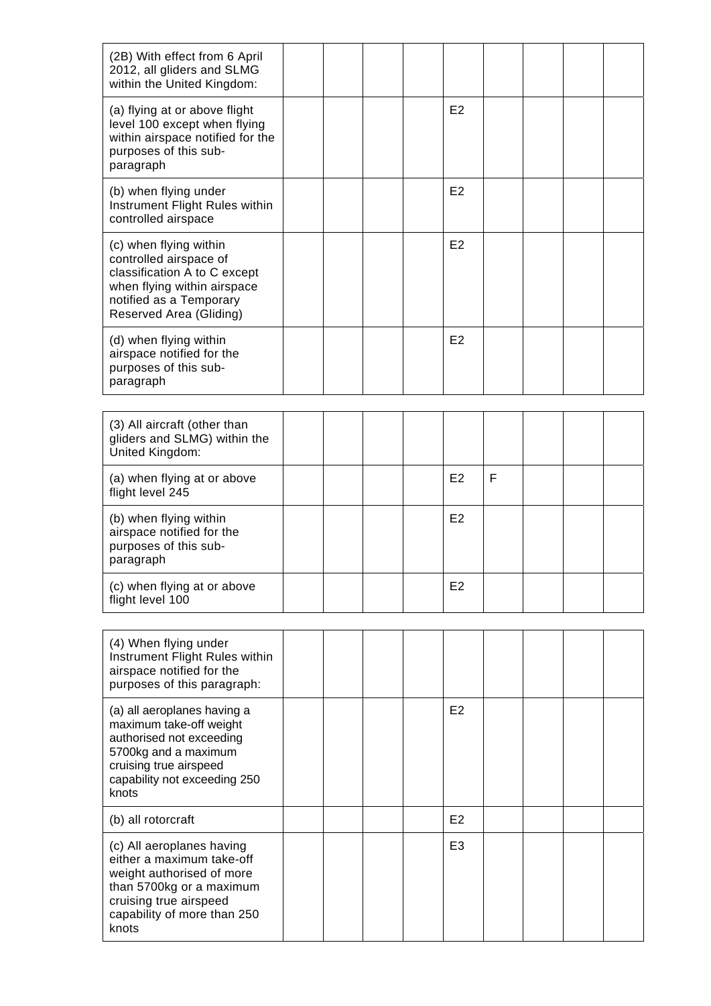| (2B) With effect from 6 April<br>2012, all gliders and SLMG<br>within the United Kingdom:                                                                                         |  |  |                |   |  |  |
|-----------------------------------------------------------------------------------------------------------------------------------------------------------------------------------|--|--|----------------|---|--|--|
| (a) flying at or above flight<br>level 100 except when flying<br>within airspace notified for the<br>purposes of this sub-<br>paragraph                                           |  |  | E2             |   |  |  |
| (b) when flying under<br>Instrument Flight Rules within<br>controlled airspace                                                                                                    |  |  | E <sub>2</sub> |   |  |  |
| (c) when flying within<br>controlled airspace of<br>classification A to C except<br>when flying within airspace<br>notified as a Temporary<br>Reserved Area (Gliding)             |  |  | E2             |   |  |  |
| (d) when flying within<br>airspace notified for the<br>purposes of this sub-<br>paragraph                                                                                         |  |  | E2             |   |  |  |
|                                                                                                                                                                                   |  |  |                |   |  |  |
| (3) All aircraft (other than<br>gliders and SLMG) within the<br>United Kingdom:                                                                                                   |  |  |                |   |  |  |
| (a) when flying at or above<br>flight level 245                                                                                                                                   |  |  | E2             | F |  |  |
| (b) when flying within<br>airspace notified for the<br>purposes of this sub-<br>paragraph                                                                                         |  |  | E2             |   |  |  |
| (c) when flying at or above<br>flight level 100                                                                                                                                   |  |  | E <sub>2</sub> |   |  |  |
|                                                                                                                                                                                   |  |  |                |   |  |  |
| (4) When flying under<br>Instrument Flight Rules within<br>airspace notified for the<br>purposes of this paragraph:                                                               |  |  |                |   |  |  |
| (a) all aeroplanes having a<br>maximum take-off weight<br>authorised not exceeding<br>5700kg and a maximum<br>cruising true airspeed<br>capability not exceeding 250<br>knots     |  |  | E <sub>2</sub> |   |  |  |
| (b) all rotorcraft                                                                                                                                                                |  |  | E <sub>2</sub> |   |  |  |
| (c) All aeroplanes having<br>either a maximum take-off<br>weight authorised of more<br>than 5700kg or a maximum<br>cruising true airspeed<br>capability of more than 250<br>knots |  |  | E <sub>3</sub> |   |  |  |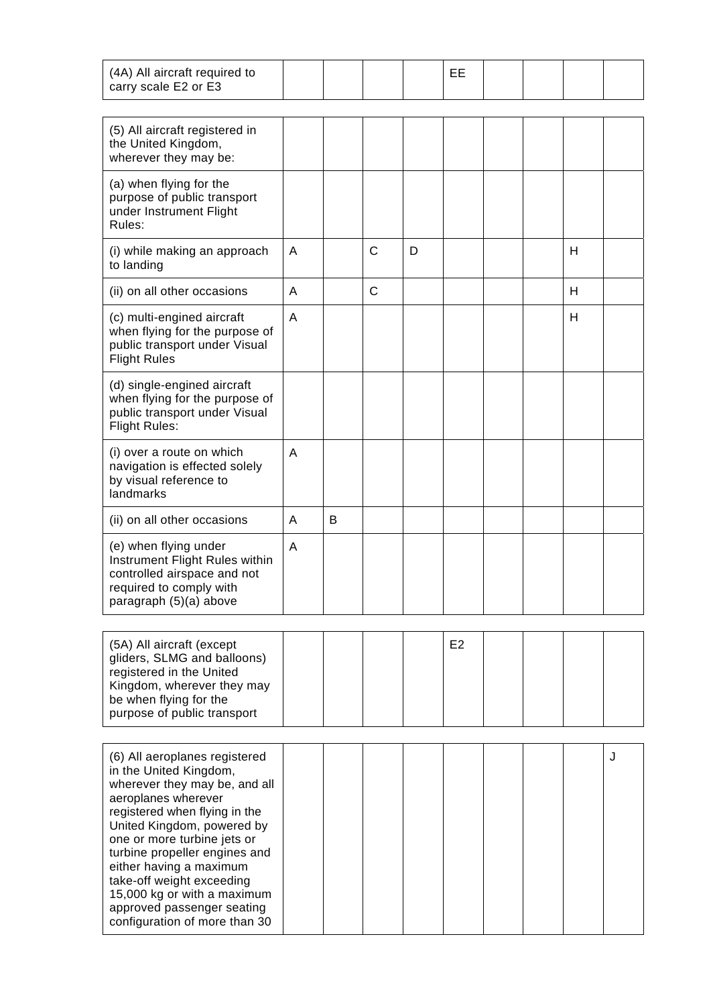| (4A) All aircraft required to<br>carry scale E2 or E3                                                                                                                                                                                                                                                                                                                                                |   |   |              |   | EE             |  |   |   |
|------------------------------------------------------------------------------------------------------------------------------------------------------------------------------------------------------------------------------------------------------------------------------------------------------------------------------------------------------------------------------------------------------|---|---|--------------|---|----------------|--|---|---|
|                                                                                                                                                                                                                                                                                                                                                                                                      |   |   |              |   |                |  |   |   |
| (5) All aircraft registered in<br>the United Kingdom,<br>wherever they may be:                                                                                                                                                                                                                                                                                                                       |   |   |              |   |                |  |   |   |
| (a) when flying for the<br>purpose of public transport<br>under Instrument Flight<br>Rules:                                                                                                                                                                                                                                                                                                          |   |   |              |   |                |  |   |   |
| (i) while making an approach<br>to landing                                                                                                                                                                                                                                                                                                                                                           | A |   | $\mathsf{C}$ | D |                |  | H |   |
| (ii) on all other occasions                                                                                                                                                                                                                                                                                                                                                                          | A |   | C            |   |                |  | н |   |
| (c) multi-engined aircraft<br>when flying for the purpose of<br>public transport under Visual<br><b>Flight Rules</b>                                                                                                                                                                                                                                                                                 | A |   |              |   |                |  | H |   |
| (d) single-engined aircraft<br>when flying for the purpose of<br>public transport under Visual<br><b>Flight Rules:</b>                                                                                                                                                                                                                                                                               |   |   |              |   |                |  |   |   |
| (i) over a route on which<br>navigation is effected solely<br>by visual reference to<br>landmarks                                                                                                                                                                                                                                                                                                    | A |   |              |   |                |  |   |   |
| (ii) on all other occasions                                                                                                                                                                                                                                                                                                                                                                          | A | B |              |   |                |  |   |   |
| (e) when flying under<br>Instrument Flight Rules within<br>controlled airspace and not<br>required to comply with<br>paragraph (5)(a) above                                                                                                                                                                                                                                                          | A |   |              |   |                |  |   |   |
|                                                                                                                                                                                                                                                                                                                                                                                                      |   |   |              |   |                |  |   |   |
| (5A) All aircraft (except<br>gliders, SLMG and balloons)<br>registered in the United<br>Kingdom, wherever they may<br>be when flying for the<br>purpose of public transport                                                                                                                                                                                                                          |   |   |              |   | E <sub>2</sub> |  |   |   |
|                                                                                                                                                                                                                                                                                                                                                                                                      |   |   |              |   |                |  |   |   |
| (6) All aeroplanes registered<br>in the United Kingdom,<br>wherever they may be, and all<br>aeroplanes wherever<br>registered when flying in the<br>United Kingdom, powered by<br>one or more turbine jets or<br>turbine propeller engines and<br>either having a maximum<br>take-off weight exceeding<br>15,000 kg or with a maximum<br>approved passenger seating<br>configuration of more than 30 |   |   |              |   |                |  |   | J |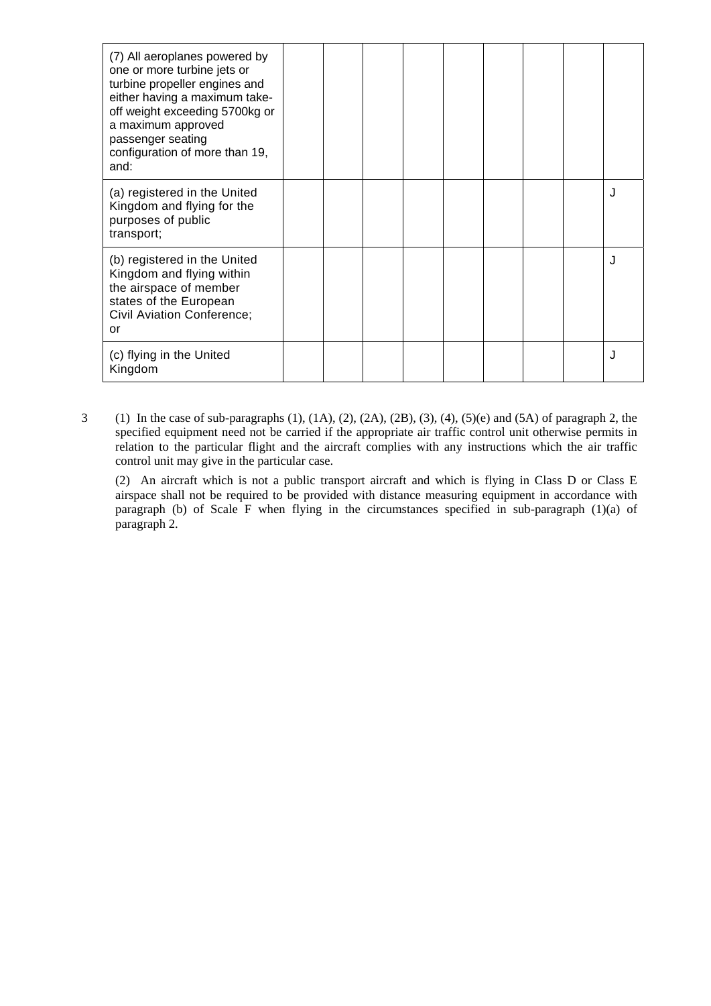| (7) All aeroplanes powered by<br>one or more turbine jets or<br>turbine propeller engines and<br>either having a maximum take-<br>off weight exceeding 5700kg or<br>a maximum approved<br>passenger seating<br>configuration of more than 19,<br>and: |  |  |  |  |   |
|-------------------------------------------------------------------------------------------------------------------------------------------------------------------------------------------------------------------------------------------------------|--|--|--|--|---|
| (a) registered in the United<br>Kingdom and flying for the<br>purposes of public<br>transport;                                                                                                                                                        |  |  |  |  | J |
| (b) registered in the United<br>Kingdom and flying within<br>the airspace of member<br>states of the European<br><b>Civil Aviation Conference;</b><br>or                                                                                              |  |  |  |  | J |
| (c) flying in the United<br>Kingdom                                                                                                                                                                                                                   |  |  |  |  |   |

3 (1) In the case of sub-paragraphs (1), (1A), (2), (2A), (2B), (3), (4), (5)(e) and (5A) of paragraph 2, the specified equipment need not be carried if the appropriate air traffic control unit otherwise permits in relation to the particular flight and the aircraft complies with any instructions which the air traffic control unit may give in the particular case.

 (2) An aircraft which is not a public transport aircraft and which is flying in Class D or Class E airspace shall not be required to be provided with distance measuring equipment in accordance with paragraph (b) of Scale F when flying in the circumstances specified in sub-paragraph (1)(a) of paragraph 2.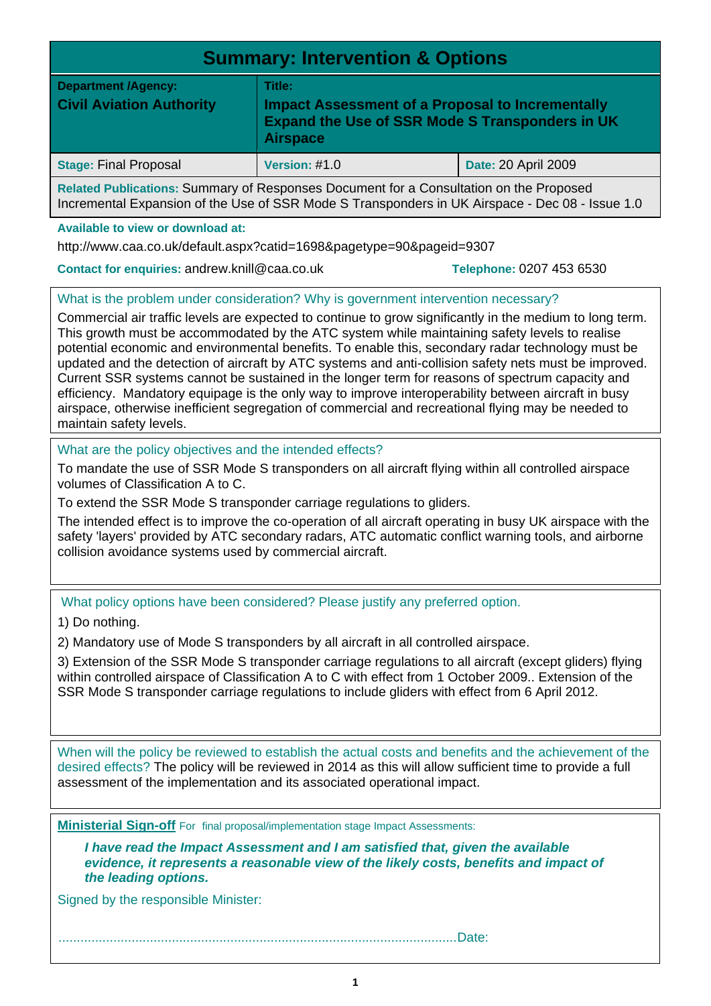| <b>Summary: Intervention &amp; Options</b>                                             |                                                                                                                                                |                     |  |  |  |  |  |  |
|----------------------------------------------------------------------------------------|------------------------------------------------------------------------------------------------------------------------------------------------|---------------------|--|--|--|--|--|--|
| <b>Department /Agency:</b><br><b>Civil Aviation Authority</b>                          | Title:<br><b>Impact Assessment of a Proposal to Incrementally</b><br><b>Expand the Use of SSR Mode S Transponders in UK</b><br><b>Airspace</b> |                     |  |  |  |  |  |  |
| <b>Stage: Final Proposal</b>                                                           | Version: #1.0                                                                                                                                  | Date: 20 April 2009 |  |  |  |  |  |  |
| Related Publications: Summary of Responses Document for a Consultation on the Proposed |                                                                                                                                                |                     |  |  |  |  |  |  |

Incremental Expansion of the Use of SSR Mode S Transponders in UK Airspace - Dec 08 - Issue 1.0

**Available to view or download at:** 

http://www.caa.co.uk/default.aspx?catid=1698&pagetype=90&pageid=9307

**Contact for enquiries:** andrew.knill@caa.co.uk **Telephone:** 0207 453 6530

What is the problem under consideration? Why is government intervention necessary?

Commercial air traffic levels are expected to continue to grow significantly in the medium to long term. This growth must be accommodated by the ATC system while maintaining safety levels to realise potential economic and environmental benefits. To enable this, secondary radar technology must be updated and the detection of aircraft by ATC systems and anti-collision safety nets must be improved. Current SSR systems cannot be sustained in the longer term for reasons of spectrum capacity and efficiency. Mandatory equipage is the only way to improve interoperability between aircraft in busy airspace, otherwise inefficient segregation of commercial and recreational flying may be needed to maintain safety levels.

What are the policy objectives and the intended effects?

To mandate the use of SSR Mode S transponders on all aircraft flying within all controlled airspace volumes of Classification A to C.

To extend the SSR Mode S transponder carriage regulations to gliders.

The intended effect is to improve the co-operation of all aircraft operating in busy UK airspace with the safety 'layers' provided by ATC secondary radars, ATC automatic conflict warning tools, and airborne collision avoidance systems used by commercial aircraft.

What policy options have been considered? Please justify any preferred option.

1) Do nothing.

2) Mandatory use of Mode S transponders by all aircraft in all controlled airspace.

3) Extension of the SSR Mode S transponder carriage regulations to all aircraft (except gliders) flying within controlled airspace of Classification A to C with effect from 1 October 2009.. Extension of the SSR Mode S transponder carriage regulations to include gliders with effect from 6 April 2012.

When will the policy be reviewed to establish the actual costs and benefits and the achievement of the desired effects? The policy will be reviewed in 2014 as this will allow sufficient time to provide a full assessment of the implementation and its associated operational impact.

**Ministerial Sign-off** For final proposal/implementation stage Impact Assessments:

*I have read the Impact Assessment and I am satisfied that, given the available evidence, it represents a reasonable view of the likely costs, benefits and impact of the leading options.* 

Signed by the responsible Minister:

.............................................................................................................Date: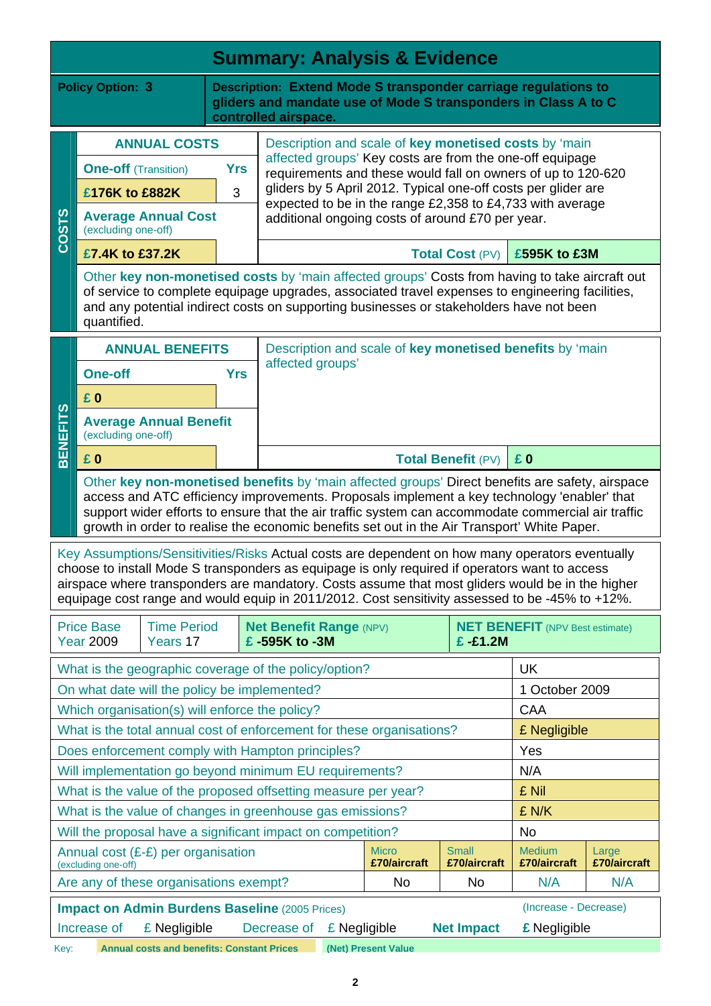| <b>Summary: Analysis &amp; Evidence</b>                                                                                                                                                                                                                                                                                                                                                                                                                                                                                                                                                                  |                                       |                                                                                                   |            |                                                 |                |                                                                                                                                                                                                     |                        |                                        |              |  |  |
|----------------------------------------------------------------------------------------------------------------------------------------------------------------------------------------------------------------------------------------------------------------------------------------------------------------------------------------------------------------------------------------------------------------------------------------------------------------------------------------------------------------------------------------------------------------------------------------------------------|---------------------------------------|---------------------------------------------------------------------------------------------------|------------|-------------------------------------------------|----------------|-----------------------------------------------------------------------------------------------------------------------------------------------------------------------------------------------------|------------------------|----------------------------------------|--------------|--|--|
|                                                                                                                                                                                                                                                                                                                                                                                                                                                                                                                                                                                                          | <b>Policy Option: 3</b>               |                                                                                                   |            | controlled airspace.                            |                | Description: Extend Mode S transponder carriage regulations to<br>gliders and mandate use of Mode S transponders in Class A to C                                                                    |                        |                                        |              |  |  |
|                                                                                                                                                                                                                                                                                                                                                                                                                                                                                                                                                                                                          |                                       | <b>ANNUAL COSTS</b>                                                                               |            |                                                 |                | Description and scale of key monetised costs by 'main                                                                                                                                               |                        |                                        |              |  |  |
|                                                                                                                                                                                                                                                                                                                                                                                                                                                                                                                                                                                                          | <b>One-off</b> (Transition)           |                                                                                                   | <b>Yrs</b> |                                                 |                | affected groups' Key costs are from the one-off equipage<br>requirements and these would fall on owners of up to 120-620                                                                            |                        |                                        |              |  |  |
|                                                                                                                                                                                                                                                                                                                                                                                                                                                                                                                                                                                                          | £176K to £882K                        |                                                                                                   | 3          |                                                 |                | gliders by 5 April 2012. Typical one-off costs per glider are                                                                                                                                       |                        |                                        |              |  |  |
| <b>COSTS</b>                                                                                                                                                                                                                                                                                                                                                                                                                                                                                                                                                                                             | (excluding one-off)                   | <b>Average Annual Cost</b>                                                                        |            |                                                 |                | expected to be in the range £2,358 to £4,733 with average<br>additional ongoing costs of around £70 per year.                                                                                       |                        |                                        |              |  |  |
|                                                                                                                                                                                                                                                                                                                                                                                                                                                                                                                                                                                                          | £7.4K to £37.2K                       |                                                                                                   |            |                                                 |                |                                                                                                                                                                                                     | <b>Total Cost (PV)</b> | £595K to £3M                           |              |  |  |
| Other key non-monetised costs by 'main affected groups' Costs from having to take aircraft out<br>of service to complete equipage upgrades, associated travel expenses to engineering facilities,<br>and any potential indirect costs on supporting businesses or stakeholders have not been<br>quantified.                                                                                                                                                                                                                                                                                              |                                       |                                                                                                   |            |                                                 |                |                                                                                                                                                                                                     |                        |                                        |              |  |  |
| Description and scale of key monetised benefits by 'main<br><b>ANNUAL BENEFITS</b>                                                                                                                                                                                                                                                                                                                                                                                                                                                                                                                       |                                       |                                                                                                   |            |                                                 |                |                                                                                                                                                                                                     |                        |                                        |              |  |  |
|                                                                                                                                                                                                                                                                                                                                                                                                                                                                                                                                                                                                          | <b>One-off</b>                        |                                                                                                   | <b>Yrs</b> | affected groups'                                |                |                                                                                                                                                                                                     |                        |                                        |              |  |  |
|                                                                                                                                                                                                                                                                                                                                                                                                                                                                                                                                                                                                          | £ <sub>0</sub>                        |                                                                                                   |            |                                                 |                |                                                                                                                                                                                                     |                        |                                        |              |  |  |
| <b>BENEFITS</b>                                                                                                                                                                                                                                                                                                                                                                                                                                                                                                                                                                                          | (excluding one-off)                   | <b>Average Annual Benefit</b>                                                                     |            |                                                 |                |                                                                                                                                                                                                     |                        |                                        |              |  |  |
|                                                                                                                                                                                                                                                                                                                                                                                                                                                                                                                                                                                                          | £ <sub>0</sub>                        | <b>Total Benefit (PV)</b><br>£ <sub>0</sub>                                                       |            |                                                 |                |                                                                                                                                                                                                     |                        |                                        |              |  |  |
| Other key non-monetised benefits by 'main affected groups' Direct benefits are safety, airspace<br>access and ATC efficiency improvements. Proposals implement a key technology 'enabler' that<br>support wider efforts to ensure that the air traffic system can accommodate commercial air traffic<br>growth in order to realise the economic benefits set out in the Air Transport' White Paper.<br>Key Assumptions/Sensitivities/Risks Actual costs are dependent on how many operators eventually<br>choose to install Mode S transponders as equipage is only required if operators want to access |                                       |                                                                                                   |            |                                                 |                |                                                                                                                                                                                                     |                        |                                        |              |  |  |
|                                                                                                                                                                                                                                                                                                                                                                                                                                                                                                                                                                                                          |                                       |                                                                                                   |            |                                                 |                | airspace where transponders are mandatory. Costs assume that most gliders would be in the higher<br>equipage cost range and would equip in 2011/2012. Cost sensitivity assessed to be -45% to +12%. |                        |                                        |              |  |  |
|                                                                                                                                                                                                                                                                                                                                                                                                                                                                                                                                                                                                          | <b>Price Base</b><br><b>Year 2009</b> | <b>Time Period</b><br>Years 17                                                                    |            | <b>Net Benefit Range (NPV)</b><br>£-595K to -3M |                |                                                                                                                                                                                                     | £-£1.2M                | <b>NET BENEFIT</b> (NPV Best estimate) |              |  |  |
|                                                                                                                                                                                                                                                                                                                                                                                                                                                                                                                                                                                                          |                                       | What is the geographic coverage of the policy/option?                                             |            |                                                 |                |                                                                                                                                                                                                     |                        | <b>UK</b>                              |              |  |  |
|                                                                                                                                                                                                                                                                                                                                                                                                                                                                                                                                                                                                          |                                       | On what date will the policy be implemented?                                                      |            |                                                 |                |                                                                                                                                                                                                     |                        | 1 October 2009                         |              |  |  |
|                                                                                                                                                                                                                                                                                                                                                                                                                                                                                                                                                                                                          |                                       | Which organisation(s) will enforce the policy?                                                    |            |                                                 |                |                                                                                                                                                                                                     |                        | <b>CAA</b>                             |              |  |  |
|                                                                                                                                                                                                                                                                                                                                                                                                                                                                                                                                                                                                          |                                       |                                                                                                   |            |                                                 |                | What is the total annual cost of enforcement for these organisations?                                                                                                                               |                        | £ Negligible                           |              |  |  |
|                                                                                                                                                                                                                                                                                                                                                                                                                                                                                                                                                                                                          |                                       | Does enforcement comply with Hampton principles?                                                  |            |                                                 |                |                                                                                                                                                                                                     |                        | Yes                                    |              |  |  |
|                                                                                                                                                                                                                                                                                                                                                                                                                                                                                                                                                                                                          |                                       | Will implementation go beyond minimum EU requirements?                                            |            |                                                 |                |                                                                                                                                                                                                     |                        | N/A                                    |              |  |  |
|                                                                                                                                                                                                                                                                                                                                                                                                                                                                                                                                                                                                          |                                       | What is the value of the proposed offsetting measure per year?                                    |            |                                                 |                |                                                                                                                                                                                                     |                        | £ Nil                                  |              |  |  |
|                                                                                                                                                                                                                                                                                                                                                                                                                                                                                                                                                                                                          |                                       | What is the value of changes in greenhouse gas emissions?                                         |            |                                                 |                |                                                                                                                                                                                                     |                        | £ N/K                                  |              |  |  |
|                                                                                                                                                                                                                                                                                                                                                                                                                                                                                                                                                                                                          |                                       | Will the proposal have a significant impact on competition?<br>Annual cost (£-£) per organisation |            |                                                 |                | <b>Micro</b>                                                                                                                                                                                        | <b>Small</b>           | <b>No</b><br><b>Medium</b>             | Large        |  |  |
|                                                                                                                                                                                                                                                                                                                                                                                                                                                                                                                                                                                                          | (excluding one-off)                   |                                                                                                   |            |                                                 |                | £70/aircraft                                                                                                                                                                                        | £70/aircraft           | £70/aircraft                           | £70/aircraft |  |  |
|                                                                                                                                                                                                                                                                                                                                                                                                                                                                                                                                                                                                          |                                       | Are any of these organisations exempt?                                                            |            |                                                 |                | No.                                                                                                                                                                                                 | No                     | N/A                                    | N/A          |  |  |
|                                                                                                                                                                                                                                                                                                                                                                                                                                                                                                                                                                                                          |                                       | <b>Impact on Admin Burdens Baseline (2005 Prices)</b>                                             |            |                                                 |                |                                                                                                                                                                                                     |                        | (Increase - Decrease)                  |              |  |  |
| Key:                                                                                                                                                                                                                                                                                                                                                                                                                                                                                                                                                                                                     | Increase of                           | £ Negligible<br><b>Annual costs and benefits: Constant Prices</b>                                 |            | Decrease of                                     | $E$ Negligible | (Net) Present Value                                                                                                                                                                                 | <b>Net Impact</b>      | £ Negligible                           |              |  |  |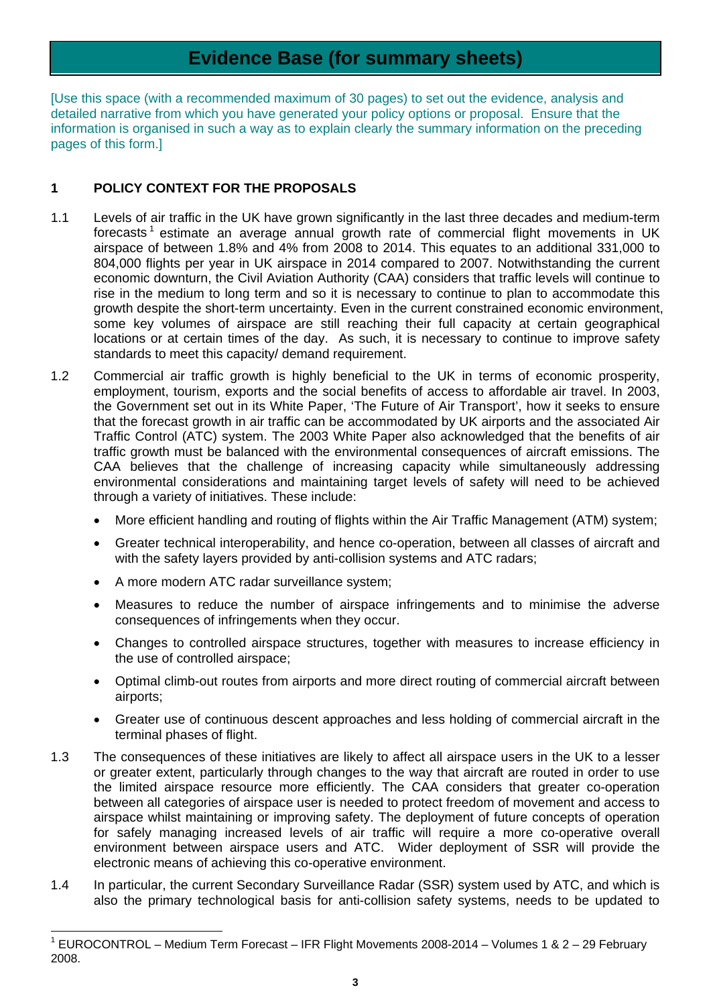# **Evidence Base (for summary sheets)**

[Use this space (with a recommended maximum of 30 pages) to set out the evidence, analysis and detailed narrative from which you have generated your policy options or proposal. Ensure that the information is organised in such a way as to explain clearly the summary information on the preceding pages of this form.]

# **1 POLICY CONTEXT FOR THE PROPOSALS**

- 1.1 Levels of air traffic in the UK have grown significantly in the last three decades and medium-term forecasts<sup>[1](#page-9-0)</sup> estimate an average annual growth rate of commercial flight movements in UK airspace of between 1.8% and 4% from 2008 to 2014. This equates to an additional 331,000 to 804,000 flights per year in UK airspace in 2014 compared to 2007. Notwithstanding the current economic downturn, the Civil Aviation Authority (CAA) considers that traffic levels will continue to rise in the medium to long term and so it is necessary to continue to plan to accommodate this growth despite the short-term uncertainty. Even in the current constrained economic environment, some key volumes of airspace are still reaching their full capacity at certain geographical locations or at certain times of the day. As such, it is necessary to continue to improve safety standards to meet this capacity/ demand requirement.
- 1.2 Commercial air traffic growth is highly beneficial to the UK in terms of economic prosperity, employment, tourism, exports and the social benefits of access to affordable air travel. In 2003, the Government set out in its White Paper, 'The Future of Air Transport', how it seeks to ensure that the forecast growth in air traffic can be accommodated by UK airports and the associated Air Traffic Control (ATC) system. The 2003 White Paper also acknowledged that the benefits of air traffic growth must be balanced with the environmental consequences of aircraft emissions. The CAA believes that the challenge of increasing capacity while simultaneously addressing environmental considerations and maintaining target levels of safety will need to be achieved through a variety of initiatives. These include:
	- More efficient handling and routing of flights within the Air Traffic Management (ATM) system;
	- Greater technical interoperability, and hence co-operation, between all classes of aircraft and with the safety layers provided by anti-collision systems and ATC radars:
	- A more modern ATC radar surveillance system;
	- Measures to reduce the number of airspace infringements and to minimise the adverse consequences of infringements when they occur.
	- Changes to controlled airspace structures, together with measures to increase efficiency in the use of controlled airspace;
	- Optimal climb-out routes from airports and more direct routing of commercial aircraft between airports;
	- Greater use of continuous descent approaches and less holding of commercial aircraft in the terminal phases of flight.
- 1.3 The consequences of these initiatives are likely to affect all airspace users in the UK to a lesser or greater extent, particularly through changes to the way that aircraft are routed in order to use the limited airspace resource more efficiently. The CAA considers that greater co-operation between all categories of airspace user is needed to protect freedom of movement and access to airspace whilst maintaining or improving safety. The deployment of future concepts of operation for safely managing increased levels of air traffic will require a more co-operative overall environment between airspace users and ATC. Wider deployment of SSR will provide the electronic means of achieving this co-operative environment.
- 1.4 In particular, the current Secondary Surveillance Radar (SSR) system used by ATC, and which is also the primary technological basis for anti-collision safety systems, needs to be updated to

<span id="page-9-0"></span> $\overline{a}$ <sup>1</sup> EUROCONTROL – Medium Term Forecast – IFR Flight Movements 2008-2014 – Volumes 1 & 2 – 29 February 2008.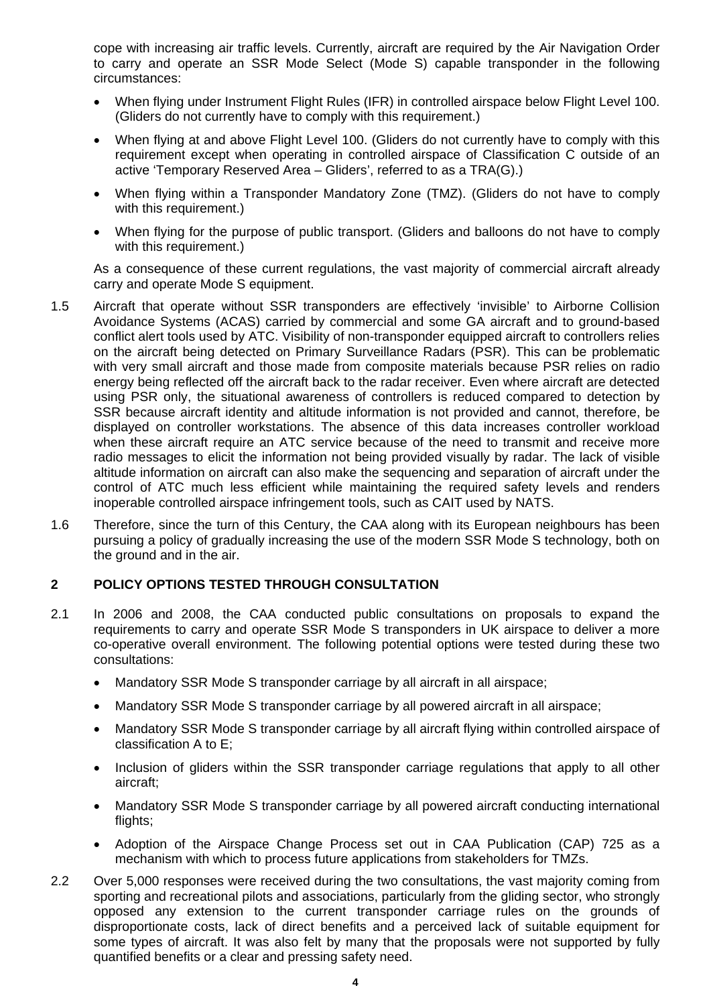cope with increasing air traffic levels. Currently, aircraft are required by the Air Navigation Order to carry and operate an SSR Mode Select (Mode S) capable transponder in the following circumstances:

- When flying under Instrument Flight Rules (IFR) in controlled airspace below Flight Level 100. (Gliders do not currently have to comply with this requirement.)
- When flying at and above Flight Level 100. (Gliders do not currently have to comply with this requirement except when operating in controlled airspace of Classification C outside of an active 'Temporary Reserved Area – Gliders', referred to as a TRA(G).)
- When flying within a Transponder Mandatory Zone (TMZ). (Gliders do not have to comply with this requirement.)
- When flying for the purpose of public transport. (Gliders and balloons do not have to comply with this requirement.)

As a consequence of these current regulations, the vast majority of commercial aircraft already carry and operate Mode S equipment.

- 1.5 Aircraft that operate without SSR transponders are effectively 'invisible' to Airborne Collision Avoidance Systems (ACAS) carried by commercial and some GA aircraft and to ground-based conflict alert tools used by ATC. Visibility of non-transponder equipped aircraft to controllers relies on the aircraft being detected on Primary Surveillance Radars (PSR). This can be problematic with very small aircraft and those made from composite materials because PSR relies on radio energy being reflected off the aircraft back to the radar receiver. Even where aircraft are detected using PSR only, the situational awareness of controllers is reduced compared to detection by SSR because aircraft identity and altitude information is not provided and cannot, therefore, be displayed on controller workstations. The absence of this data increases controller workload when these aircraft require an ATC service because of the need to transmit and receive more radio messages to elicit the information not being provided visually by radar. The lack of visible altitude information on aircraft can also make the sequencing and separation of aircraft under the control of ATC much less efficient while maintaining the required safety levels and renders inoperable controlled airspace infringement tools, such as CAIT used by NATS.
- 1.6 Therefore, since the turn of this Century, the CAA along with its European neighbours has been pursuing a policy of gradually increasing the use of the modern SSR Mode S technology, both on the ground and in the air.

#### **2 POLICY OPTIONS TESTED THROUGH CONSULTATION**

- 2.1 In 2006 and 2008, the CAA conducted public consultations on proposals to expand the requirements to carry and operate SSR Mode S transponders in UK airspace to deliver a more co-operative overall environment. The following potential options were tested during these two consultations:
	- Mandatory SSR Mode S transponder carriage by all aircraft in all airspace;
	- Mandatory SSR Mode S transponder carriage by all powered aircraft in all airspace;
	- Mandatory SSR Mode S transponder carriage by all aircraft flying within controlled airspace of classification A to E;
	- Inclusion of gliders within the SSR transponder carriage regulations that apply to all other aircraft;
	- Mandatory SSR Mode S transponder carriage by all powered aircraft conducting international flights;
	- Adoption of the Airspace Change Process set out in CAA Publication (CAP) 725 as a mechanism with which to process future applications from stakeholders for TMZs.
- 2.2 Over 5,000 responses were received during the two consultations, the vast majority coming from sporting and recreational pilots and associations, particularly from the gliding sector, who strongly opposed any extension to the current transponder carriage rules on the grounds of disproportionate costs, lack of direct benefits and a perceived lack of suitable equipment for some types of aircraft. It was also felt by many that the proposals were not supported by fully quantified benefits or a clear and pressing safety need.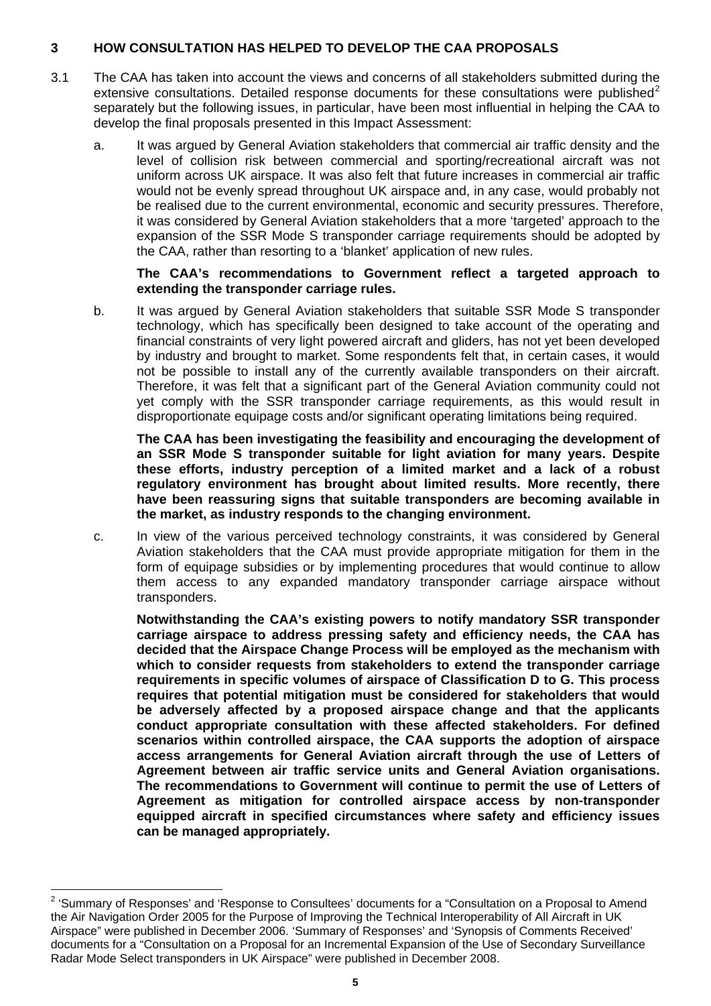## **3 HOW CONSULTATION HAS HELPED TO DEVELOP THE CAA PROPOSALS**

- 3.1 The CAA has taken into account the views and concerns of all stakeholders submitted during the extensive consultations. Detailed response documents for these consultations were published<sup>[2](#page-11-0)</sup> separately but the following issues, in particular, have been most influential in helping the CAA to develop the final proposals presented in this Impact Assessment:
	- a. It was argued by General Aviation stakeholders that commercial air traffic density and the level of collision risk between commercial and sporting/recreational aircraft was not uniform across UK airspace. It was also felt that future increases in commercial air traffic would not be evenly spread throughout UK airspace and, in any case, would probably not be realised due to the current environmental, economic and security pressures. Therefore, it was considered by General Aviation stakeholders that a more 'targeted' approach to the expansion of the SSR Mode S transponder carriage requirements should be adopted by the CAA, rather than resorting to a 'blanket' application of new rules.

#### **The CAA's recommendations to Government reflect a targeted approach to extending the transponder carriage rules.**

b. It was argued by General Aviation stakeholders that suitable SSR Mode S transponder technology, which has specifically been designed to take account of the operating and financial constraints of very light powered aircraft and gliders, has not yet been developed by industry and brought to market. Some respondents felt that, in certain cases, it would not be possible to install any of the currently available transponders on their aircraft. Therefore, it was felt that a significant part of the General Aviation community could not yet comply with the SSR transponder carriage requirements, as this would result in disproportionate equipage costs and/or significant operating limitations being required.

**The CAA has been investigating the feasibility and encouraging the development of an SSR Mode S transponder suitable for light aviation for many years. Despite these efforts, industry perception of a limited market and a lack of a robust regulatory environment has brought about limited results. More recently, there have been reassuring signs that suitable transponders are becoming available in the market, as industry responds to the changing environment.** 

c. In view of the various perceived technology constraints, it was considered by General Aviation stakeholders that the CAA must provide appropriate mitigation for them in the form of equipage subsidies or by implementing procedures that would continue to allow them access to any expanded mandatory transponder carriage airspace without transponders.

**Notwithstanding the CAA's existing powers to notify mandatory SSR transponder carriage airspace to address pressing safety and efficiency needs, the CAA has decided that the Airspace Change Process will be employed as the mechanism with which to consider requests from stakeholders to extend the transponder carriage requirements in specific volumes of airspace of Classification D to G. This process requires that potential mitigation must be considered for stakeholders that would be adversely affected by a proposed airspace change and that the applicants conduct appropriate consultation with these affected stakeholders. For defined scenarios within controlled airspace, the CAA supports the adoption of airspace access arrangements for General Aviation aircraft through the use of Letters of Agreement between air traffic service units and General Aviation organisations. The recommendations to Government will continue to permit the use of Letters of Agreement as mitigation for controlled airspace access by non-transponder equipped aircraft in specified circumstances where safety and efficiency issues can be managed appropriately.**

 $\overline{a}$ 

<span id="page-11-0"></span><sup>&</sup>lt;sup>2</sup> 'Summary of Responses' and 'Response to Consultees' documents for a "Consultation on a Proposal to Amend the Air Navigation Order 2005 for the Purpose of Improving the Technical Interoperability of All Aircraft in UK Airspace" were published in December 2006. 'Summary of Responses' and 'Synopsis of Comments Received' documents for a "Consultation on a Proposal for an Incremental Expansion of the Use of Secondary Surveillance Radar Mode Select transponders in UK Airspace" were published in December 2008.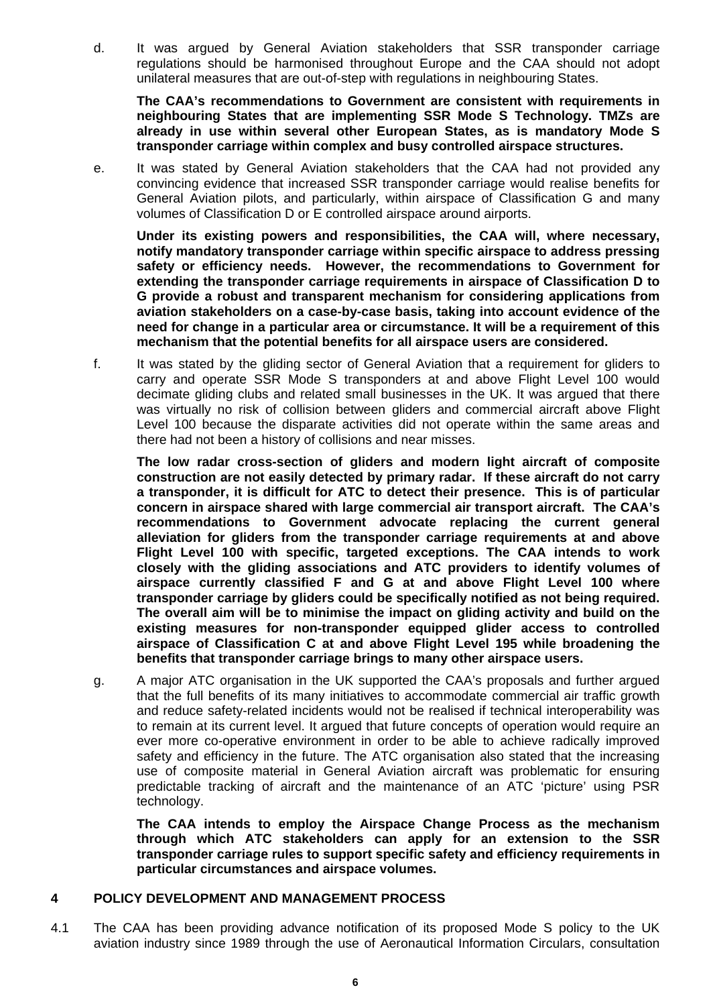d. It was argued by General Aviation stakeholders that SSR transponder carriage regulations should be harmonised throughout Europe and the CAA should not adopt unilateral measures that are out-of-step with regulations in neighbouring States.

**The CAA's recommendations to Government are consistent with requirements in neighbouring States that are implementing SSR Mode S Technology. TMZs are already in use within several other European States, as is mandatory Mode S transponder carriage within complex and busy controlled airspace structures.** 

e. It was stated by General Aviation stakeholders that the CAA had not provided any convincing evidence that increased SSR transponder carriage would realise benefits for General Aviation pilots, and particularly, within airspace of Classification G and many volumes of Classification D or E controlled airspace around airports.

**Under its existing powers and responsibilities, the CAA will, where necessary, notify mandatory transponder carriage within specific airspace to address pressing safety or efficiency needs. However, the recommendations to Government for extending the transponder carriage requirements in airspace of Classification D to G provide a robust and transparent mechanism for considering applications from aviation stakeholders on a case-by-case basis, taking into account evidence of the need for change in a particular area or circumstance. It will be a requirement of this mechanism that the potential benefits for all airspace users are considered.** 

f. It was stated by the gliding sector of General Aviation that a requirement for gliders to carry and operate SSR Mode S transponders at and above Flight Level 100 would decimate gliding clubs and related small businesses in the UK. It was argued that there was virtually no risk of collision between gliders and commercial aircraft above Flight Level 100 because the disparate activities did not operate within the same areas and there had not been a history of collisions and near misses.

**The low radar cross-section of gliders and modern light aircraft of composite construction are not easily detected by primary radar. If these aircraft do not carry a transponder, it is difficult for ATC to detect their presence. This is of particular concern in airspace shared with large commercial air transport aircraft. The CAA's recommendations to Government advocate replacing the current general alleviation for gliders from the transponder carriage requirements at and above Flight Level 100 with specific, targeted exceptions. The CAA intends to work closely with the gliding associations and ATC providers to identify volumes of airspace currently classified F and G at and above Flight Level 100 where transponder carriage by gliders could be specifically notified as not being required. The overall aim will be to minimise the impact on gliding activity and build on the existing measures for non-transponder equipped glider access to controlled airspace of Classification C at and above Flight Level 195 while broadening the benefits that transponder carriage brings to many other airspace users.** 

g. A major ATC organisation in the UK supported the CAA's proposals and further argued that the full benefits of its many initiatives to accommodate commercial air traffic growth and reduce safety-related incidents would not be realised if technical interoperability was to remain at its current level. It argued that future concepts of operation would require an ever more co-operative environment in order to be able to achieve radically improved safety and efficiency in the future. The ATC organisation also stated that the increasing use of composite material in General Aviation aircraft was problematic for ensuring predictable tracking of aircraft and the maintenance of an ATC 'picture' using PSR technology.

**The CAA intends to employ the Airspace Change Process as the mechanism through which ATC stakeholders can apply for an extension to the SSR transponder carriage rules to support specific safety and efficiency requirements in particular circumstances and airspace volumes.** 

#### **4 POLICY DEVELOPMENT AND MANAGEMENT PROCESS**

4.1 The CAA has been providing advance notification of its proposed Mode S policy to the UK aviation industry since 1989 through the use of Aeronautical Information Circulars, consultation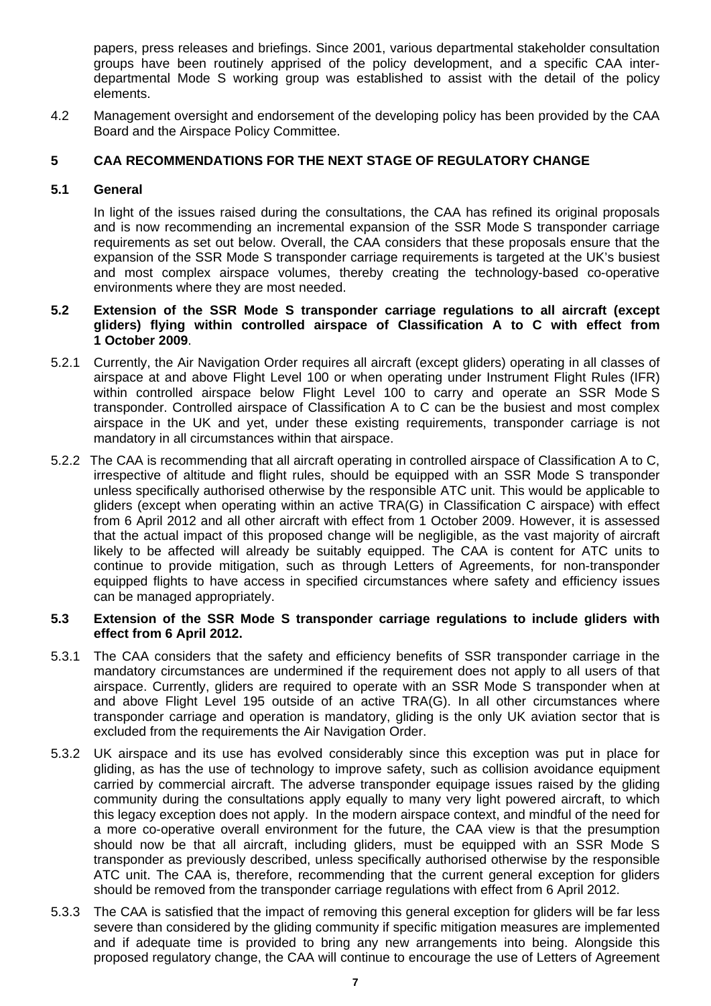papers, press releases and briefings. Since 2001, various departmental stakeholder consultation groups have been routinely apprised of the policy development, and a specific CAA interdepartmental Mode S working group was established to assist with the detail of the policy elements.

4.2 Management oversight and endorsement of the developing policy has been provided by the CAA Board and the Airspace Policy Committee.

## **5 CAA RECOMMENDATIONS FOR THE NEXT STAGE OF REGULATORY CHANGE**

#### **5.1 General**

In light of the issues raised during the consultations, the CAA has refined its original proposals and is now recommending an incremental expansion of the SSR Mode S transponder carriage requirements as set out below. Overall, the CAA considers that these proposals ensure that the expansion of the SSR Mode S transponder carriage requirements is targeted at the UK's busiest and most complex airspace volumes, thereby creating the technology-based co-operative environments where they are most needed.

#### **5.2 Extension of the SSR Mode S transponder carriage regulations to all aircraft (except gliders) flying within controlled airspace of Classification A to C with effect from 1 October 2009**.

- 5.2.1 Currently, the Air Navigation Order requires all aircraft (except gliders) operating in all classes of airspace at and above Flight Level 100 or when operating under Instrument Flight Rules (IFR) within controlled airspace below Flight Level 100 to carry and operate an SSR Mode S transponder. Controlled airspace of Classification A to C can be the busiest and most complex airspace in the UK and yet, under these existing requirements, transponder carriage is not mandatory in all circumstances within that airspace.
- 5.2.2 The CAA is recommending that all aircraft operating in controlled airspace of Classification A to C, irrespective of altitude and flight rules, should be equipped with an SSR Mode S transponder unless specifically authorised otherwise by the responsible ATC unit. This would be applicable to gliders (except when operating within an active TRA(G) in Classification C airspace) with effect from 6 April 2012 and all other aircraft with effect from 1 October 2009. However, it is assessed that the actual impact of this proposed change will be negligible, as the vast majority of aircraft likely to be affected will already be suitably equipped. The CAA is content for ATC units to continue to provide mitigation, such as through Letters of Agreements, for non-transponder equipped flights to have access in specified circumstances where safety and efficiency issues can be managed appropriately.

#### **5.3 Extension of the SSR Mode S transponder carriage regulations to include gliders with effect from 6 April 2012.**

- 5.3.1 The CAA considers that the safety and efficiency benefits of SSR transponder carriage in the mandatory circumstances are undermined if the requirement does not apply to all users of that airspace. Currently, gliders are required to operate with an SSR Mode S transponder when at and above Flight Level 195 outside of an active TRA(G). In all other circumstances where transponder carriage and operation is mandatory, gliding is the only UK aviation sector that is excluded from the requirements the Air Navigation Order.
- 5.3.2 UK airspace and its use has evolved considerably since this exception was put in place for gliding, as has the use of technology to improve safety, such as collision avoidance equipment carried by commercial aircraft. The adverse transponder equipage issues raised by the gliding community during the consultations apply equally to many very light powered aircraft, to which this legacy exception does not apply. In the modern airspace context, and mindful of the need for a more co-operative overall environment for the future, the CAA view is that the presumption should now be that all aircraft, including gliders, must be equipped with an SSR Mode S transponder as previously described, unless specifically authorised otherwise by the responsible ATC unit. The CAA is, therefore, recommending that the current general exception for gliders should be removed from the transponder carriage regulations with effect from 6 April 2012.
- 5.3.3 The CAA is satisfied that the impact of removing this general exception for gliders will be far less severe than considered by the gliding community if specific mitigation measures are implemented and if adequate time is provided to bring any new arrangements into being. Alongside this proposed regulatory change, the CAA will continue to encourage the use of Letters of Agreement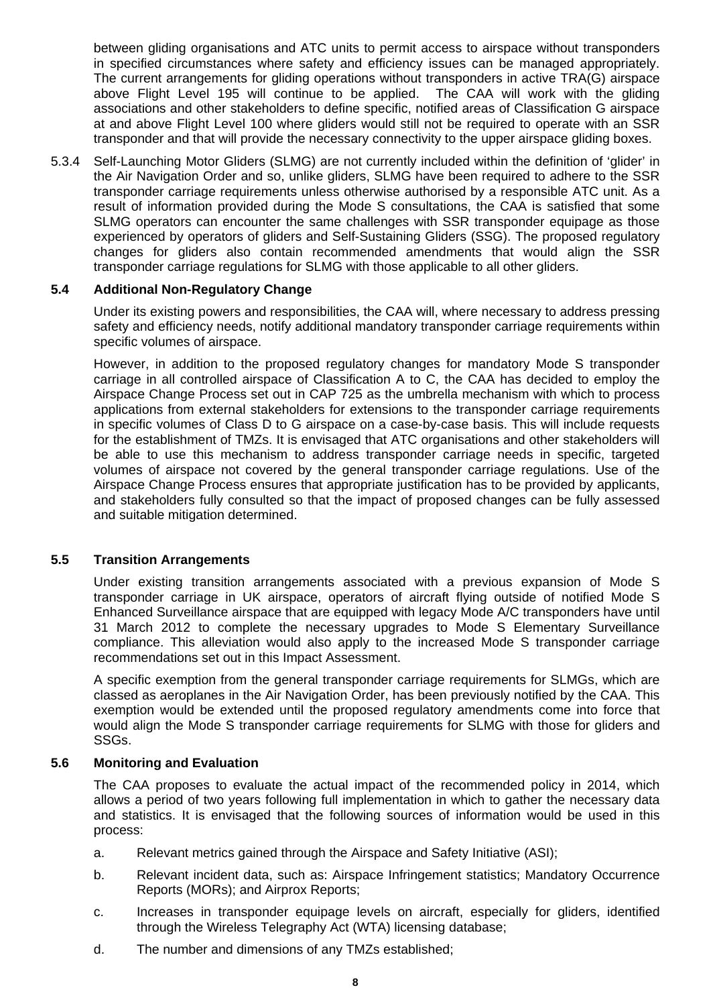between gliding organisations and ATC units to permit access to airspace without transponders in specified circumstances where safety and efficiency issues can be managed appropriately. The current arrangements for gliding operations without transponders in active TRA(G) airspace above Flight Level 195 will continue to be applied. The CAA will work with the gliding associations and other stakeholders to define specific, notified areas of Classification G airspace at and above Flight Level 100 where gliders would still not be required to operate with an SSR transponder and that will provide the necessary connectivity to the upper airspace gliding boxes.

5.3.4 Self-Launching Motor Gliders (SLMG) are not currently included within the definition of 'glider' in the Air Navigation Order and so, unlike gliders, SLMG have been required to adhere to the SSR transponder carriage requirements unless otherwise authorised by a responsible ATC unit. As a result of information provided during the Mode S consultations, the CAA is satisfied that some SLMG operators can encounter the same challenges with SSR transponder equipage as those experienced by operators of gliders and Self-Sustaining Gliders (SSG). The proposed regulatory changes for gliders also contain recommended amendments that would align the SSR transponder carriage regulations for SLMG with those applicable to all other gliders.

#### **5.4 Additional Non-Regulatory Change**

Under its existing powers and responsibilities, the CAA will, where necessary to address pressing safety and efficiency needs, notify additional mandatory transponder carriage requirements within specific volumes of airspace.

However, in addition to the proposed regulatory changes for mandatory Mode S transponder carriage in all controlled airspace of Classification A to C, the CAA has decided to employ the Airspace Change Process set out in CAP 725 as the umbrella mechanism with which to process applications from external stakeholders for extensions to the transponder carriage requirements in specific volumes of Class D to G airspace on a case-by-case basis. This will include requests for the establishment of TMZs. It is envisaged that ATC organisations and other stakeholders will be able to use this mechanism to address transponder carriage needs in specific, targeted volumes of airspace not covered by the general transponder carriage regulations. Use of the Airspace Change Process ensures that appropriate justification has to be provided by applicants, and stakeholders fully consulted so that the impact of proposed changes can be fully assessed and suitable mitigation determined.

#### **5.5 Transition Arrangements**

Under existing transition arrangements associated with a previous expansion of Mode S transponder carriage in UK airspace, operators of aircraft flying outside of notified Mode S Enhanced Surveillance airspace that are equipped with legacy Mode A/C transponders have until 31 March 2012 to complete the necessary upgrades to Mode S Elementary Surveillance compliance. This alleviation would also apply to the increased Mode S transponder carriage recommendations set out in this Impact Assessment.

A specific exemption from the general transponder carriage requirements for SLMGs, which are classed as aeroplanes in the Air Navigation Order, has been previously notified by the CAA. This exemption would be extended until the proposed regulatory amendments come into force that would align the Mode S transponder carriage requirements for SLMG with those for gliders and SSGs.

#### **5.6 Monitoring and Evaluation**

The CAA proposes to evaluate the actual impact of the recommended policy in 2014, which allows a period of two years following full implementation in which to gather the necessary data and statistics. It is envisaged that the following sources of information would be used in this process:

- a. Relevant metrics gained through the Airspace and Safety Initiative (ASI);
- b. Relevant incident data, such as: Airspace Infringement statistics; Mandatory Occurrence Reports (MORs); and Airprox Reports;
- c. Increases in transponder equipage levels on aircraft, especially for gliders, identified through the Wireless Telegraphy Act (WTA) licensing database;
- d. The number and dimensions of any TMZs established;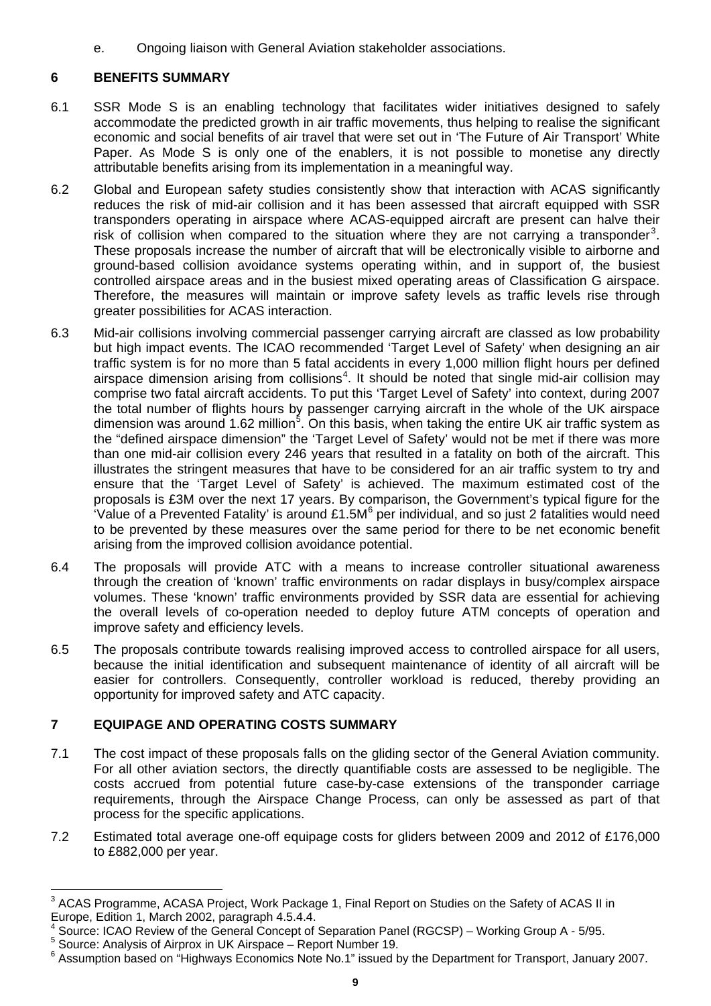e. Ongoing liaison with General Aviation stakeholder associations.

# **6 BENEFITS SUMMARY**

- 6.1 SSR Mode S is an enabling technology that facilitates wider initiatives designed to safely accommodate the predicted growth in air traffic movements, thus helping to realise the significant economic and social benefits of air travel that were set out in 'The Future of Air Transport' White Paper. As Mode S is only one of the enablers, it is not possible to monetise any directly attributable benefits arising from its implementation in a meaningful way.
- 6.2 Global and European safety studies consistently show that interaction with ACAS significantly reduces the risk of mid-air collision and it has been assessed that aircraft equipped with SSR transponders operating in airspace where ACAS-equipped aircraft are present can halve their risk of collision when compared to the situation where they are not carrying a transponder<sup>[3](#page-15-0)</sup>. These proposals increase the number of aircraft that will be electronically visible to airborne and ground-based collision avoidance systems operating within, and in support of, the busiest controlled airspace areas and in the busiest mixed operating areas of Classification G airspace. Therefore, the measures will maintain or improve safety levels as traffic levels rise through greater possibilities for ACAS interaction.
- 6.3 Mid-air collisions involving commercial passenger carrying aircraft are classed as low probability but high impact events. The ICAO recommended 'Target Level of Safety' when designing an air traffic system is for no more than 5 fatal accidents in every 1,000 million flight hours per defined airspace dimension arising from collisions<sup>[4](#page-15-1)</sup>. It should be noted that single mid-air collision may comprise two fatal aircraft accidents. To put this 'Target Level of Safety' into context, during 2007 the total number of flights hours by passenger carrying aircraft in the whole of the UK airspace dimension was around 1.62 million<sup>[5](#page-15-2)</sup>. On this basis, when taking the entire UK air traffic system as the "defined airspace dimension" the 'Target Level of Safety' would not be met if there was more than one mid-air collision every 246 years that resulted in a fatality on both of the aircraft. This illustrates the stringent measures that have to be considered for an air traffic system to try and ensure that the 'Target Level of Safety' is achieved. The maximum estimated cost of the proposals is £3M over the next 17 years. By comparison, the Government's typical figure for the Value of a Prevented Fatality' is around £1.5M<sup>[6](#page-15-3)</sup> per individual, and so just 2 fatalities would need to be prevented by these measures over the same period for there to be net economic benefit arising from the improved collision avoidance potential.
- 6.4 The proposals will provide ATC with a means to increase controller situational awareness through the creation of 'known' traffic environments on radar displays in busy/complex airspace volumes. These 'known' traffic environments provided by SSR data are essential for achieving the overall levels of co-operation needed to deploy future ATM concepts of operation and improve safety and efficiency levels.
- 6.5 The proposals contribute towards realising improved access to controlled airspace for all users, because the initial identification and subsequent maintenance of identity of all aircraft will be easier for controllers. Consequently, controller workload is reduced, thereby providing an opportunity for improved safety and ATC capacity.

# **7 EQUIPAGE AND OPERATING COSTS SUMMARY**

- 7.1 The cost impact of these proposals falls on the gliding sector of the General Aviation community. For all other aviation sectors, the directly quantifiable costs are assessed to be negligible. The costs accrued from potential future case-by-case extensions of the transponder carriage requirements, through the Airspace Change Process, can only be assessed as part of that process for the specific applications.
- 7.2 Estimated total average one-off equipage costs for gliders between 2009 and 2012 of £176,000 to £882,000 per year.

<span id="page-15-0"></span> $\overline{a}$  $3$  ACAS Programme, ACASA Project, Work Package 1, Final Report on Studies on the Safety of ACAS II in Europe, Edition 1, March 2002, paragraph 4.5.4.4.

<sup>&</sup>lt;sup>4</sup> Source: ICAO Review of the General Concept of Separation Panel (RGCSP) – Working Group A - 5/95.

<span id="page-15-2"></span><span id="page-15-1"></span> $5$  Source: Analysis of Airprox in UK Airspace – Report Number 19.

<span id="page-15-3"></span><sup>&</sup>lt;sup>6</sup> Assumption based on "Highways Economics Note No.1" issued by the Department for Transport, January 2007.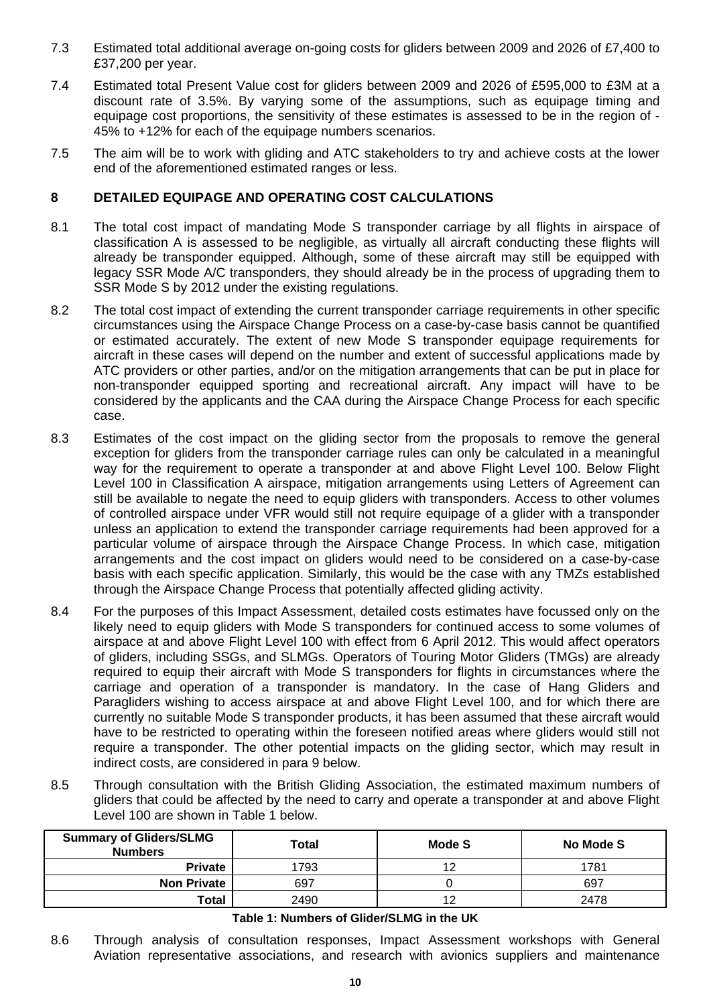- <span id="page-16-0"></span>7.3 Estimated total additional average on-going costs for gliders between 2009 and 2026 of £7,400 to £37,200 per year.
- 7.4 Estimated total Present Value cost for gliders between 2009 and 2026 of £595,000 to £3M at a discount rate of 3.5%. By varying some of the assumptions, such as equipage timing and equipage cost proportions, the sensitivity of these estimates is assessed to be in the region of - 45% to +12% for each of the equipage numbers scenarios.
- 7.5 The aim will be to work with gliding and ATC stakeholders to try and achieve costs at the lower end of the aforementioned estimated ranges or less.

### **8 DETAILED EQUIPAGE AND OPERATING COST CALCULATIONS**

- 8.1 The total cost impact of mandating Mode S transponder carriage by all flights in airspace of classification A is assessed to be negligible, as virtually all aircraft conducting these flights will already be transponder equipped. Although, some of these aircraft may still be equipped with legacy SSR Mode A/C transponders, they should already be in the process of upgrading them to SSR Mode S by 2012 under the existing regulations.
- 8.2 The total cost impact of extending the current transponder carriage requirements in other specific circumstances using the Airspace Change Process on a case-by-case basis cannot be quantified or estimated accurately. The extent of new Mode S transponder equipage requirements for aircraft in these cases will depend on the number and extent of successful applications made by ATC providers or other parties, and/or on the mitigation arrangements that can be put in place for non-transponder equipped sporting and recreational aircraft. Any impact will have to be considered by the applicants and the CAA during the Airspace Change Process for each specific case.
- 8.3 Estimates of the cost impact on the gliding sector from the proposals to remove the general exception for gliders from the transponder carriage rules can only be calculated in a meaningful way for the requirement to operate a transponder at and above Flight Level 100. Below Flight Level 100 in Classification A airspace, mitigation arrangements using Letters of Agreement can still be available to negate the need to equip gliders with transponders. Access to other volumes of controlled airspace under VFR would still not require equipage of a glider with a transponder unless an application to extend the transponder carriage requirements had been approved for a particular volume of airspace through the Airspace Change Process. In which case, mitigation arrangements and the cost impact on gliders would need to be considered on a case-by-case basis with each specific application. Similarly, this would be the case with any TMZs established through the Airspace Change Process that potentially affected gliding activity.
- 8.4 For the purposes of this Impact Assessment, detailed costs estimates have focussed only on the likely need to equip gliders with Mode S transponders for continued access to some volumes of airspace at and above Flight Level 100 with effect from 6 April 2012. This would affect operators of gliders, including SSGs, and SLMGs. Operators of Touring Motor Gliders (TMGs) are already required to equip their aircraft with Mode S transponders for flights in circumstances where the carriage and operation of a transponder is mandatory. In the case of Hang Gliders and Paragliders wishing to access airspace at and above Flight Level 100, and for which there are currently no suitable Mode S transponder products, it has been assumed that these aircraft would have to be restricted to operating within the foreseen notified areas where gliders would still not require a transponder. The other potential impacts on the gliding sector, which may result in indirect costs, are considered in para 9 below.
- 8.5 Through consultation with the British Gliding Association, the estimated maximum numbers of gliders that could be affected by the need to carry and operate a transponder at and above Flight Level 100 are shown in [Table 1](#page-16-0) below.

| <b>Summary of Gliders/SLMG</b><br><b>Numbers</b> | <b>Total</b> | Mode S | No Mode S |  |  |
|--------------------------------------------------|--------------|--------|-----------|--|--|
| <b>Private</b>                                   | 1793         | 12     | 1781      |  |  |
| <b>Non Private</b>                               | 697          |        | 697       |  |  |
| $\tau$ otal                                      | 2490         | 12     | 2478      |  |  |

#### **Table 1: Numbers of Glider/SLMG in the UK**

8.6 Through analysis of consultation responses, Impact Assessment workshops with General Aviation representative associations, and research with avionics suppliers and maintenance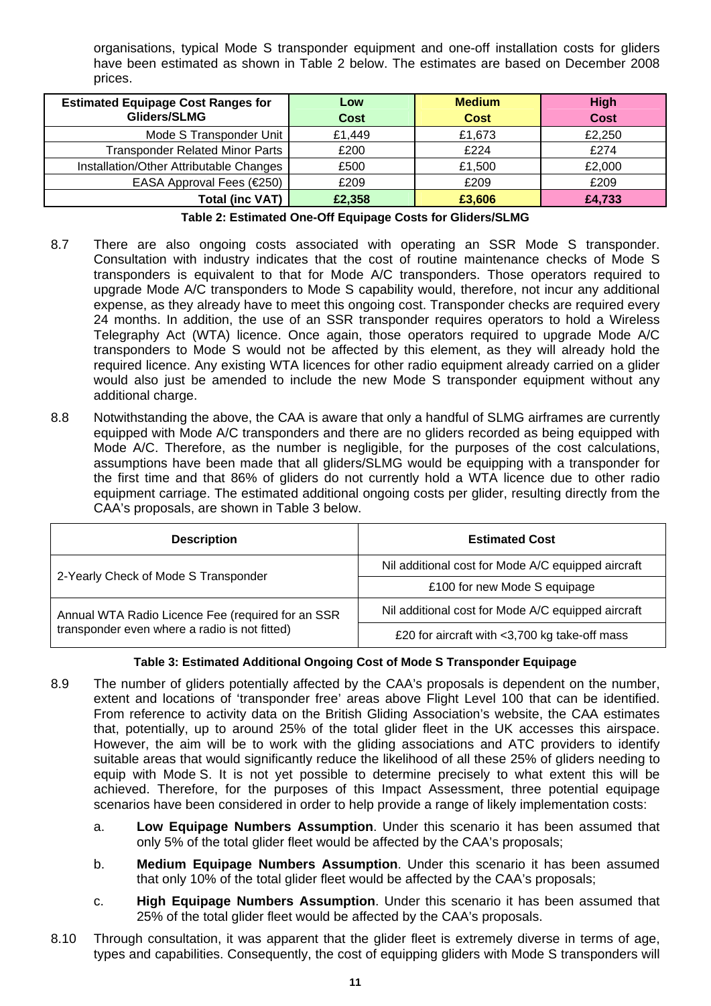<span id="page-17-0"></span>organisations, typical Mode S transponder equipment and one-off installation costs for gliders have been estimated as shown in [Table 2 below.](#page-17-0) The estimates are based on December 2008 prices.

| <b>Estimated Equipage Cost Ranges for</b> | Low         | <b>Medium</b> | <b>High</b> |
|-------------------------------------------|-------------|---------------|-------------|
| Gliders/SLMG                              | <b>Cost</b> | <b>Cost</b>   | <b>Cost</b> |
| Mode S Transponder Unit                   | £1,449      | £1,673        | £2,250      |
| <b>Transponder Related Minor Parts</b>    | £200        | £224          | £274        |
| Installation/Other Attributable Changes   | £500        | £1,500        | £2,000      |
| EASA Approval Fees (€250)                 | £209        | £209          | £209        |
| <b>Total (inc VAT)</b>                    | £2,358      | £3,606        | £4,733      |

|  |  | Table 2: Estimated One-Off Equipage Costs for Gliders/SLMG |  |
|--|--|------------------------------------------------------------|--|
|  |  |                                                            |  |

- 8.7 There are also ongoing costs associated with operating an SSR Mode S transponder. Consultation with industry indicates that the cost of routine maintenance checks of Mode S transponders is equivalent to that for Mode A/C transponders. Those operators required to upgrade Mode A/C transponders to Mode S capability would, therefore, not incur any additional expense, as they already have to meet this ongoing cost. Transponder checks are required every 24 months. In addition, the use of an SSR transponder requires operators to hold a Wireless Telegraphy Act (WTA) licence. Once again, those operators required to upgrade Mode A/C transponders to Mode S would not be affected by this element, as they will already hold the required licence. Any existing WTA licences for other radio equipment already carried on a glider would also just be amended to include the new Mode S transponder equipment without any additional charge.
- 8.8 Notwithstanding the above, the CAA is aware that only a handful of SLMG airframes are currently equipped with Mode A/C transponders and there are no gliders recorded as being equipped with Mode A/C. Therefore, as the number is negligible, for the purposes of the cost calculations, assumptions have been made that all gliders/SLMG would be equipping with a transponder for the first time and that 86% of gliders do not currently hold a WTA licence due to other radio equipment carriage. The estimated additional ongoing costs per glider, resulting directly from the CAA's proposals, are shown in [Table 3 below.](#page-17-0)

| <b>Description</b>                                | <b>Estimated Cost</b>                              |  |  |  |  |
|---------------------------------------------------|----------------------------------------------------|--|--|--|--|
| 2-Yearly Check of Mode S Transponder              | Nil additional cost for Mode A/C equipped aircraft |  |  |  |  |
|                                                   | £100 for new Mode S equipage                       |  |  |  |  |
| Annual WTA Radio Licence Fee (required for an SSR | Nil additional cost for Mode A/C equipped aircraft |  |  |  |  |
| transponder even where a radio is not fitted)     | £20 for aircraft with <3,700 kg take-off mass      |  |  |  |  |

#### **Table 3: Estimated Additional Ongoing Cost of Mode S Transponder Equipage**

- 8.9 The number of gliders potentially affected by the CAA's proposals is dependent on the number, extent and locations of 'transponder free' areas above Flight Level 100 that can be identified. From reference to activity data on the British Gliding Association's website, the CAA estimates that, potentially, up to around 25% of the total glider fleet in the UK accesses this airspace. However, the aim will be to work with the gliding associations and ATC providers to identify suitable areas that would significantly reduce the likelihood of all these 25% of gliders needing to equip with Mode S. It is not yet possible to determine precisely to what extent this will be achieved. Therefore, for the purposes of this Impact Assessment, three potential equipage scenarios have been considered in order to help provide a range of likely implementation costs:
	- a. **Low Equipage Numbers Assumption**. Under this scenario it has been assumed that only 5% of the total glider fleet would be affected by the CAA's proposals;
	- b. **Medium Equipage Numbers Assumption**. Under this scenario it has been assumed that only 10% of the total glider fleet would be affected by the CAA's proposals;
	- c. **High Equipage Numbers Assumption**. Under this scenario it has been assumed that 25% of the total glider fleet would be affected by the CAA's proposals.
- 8.10 Through consultation, it was apparent that the glider fleet is extremely diverse in terms of age, types and capabilities. Consequently, the cost of equipping gliders with Mode S transponders will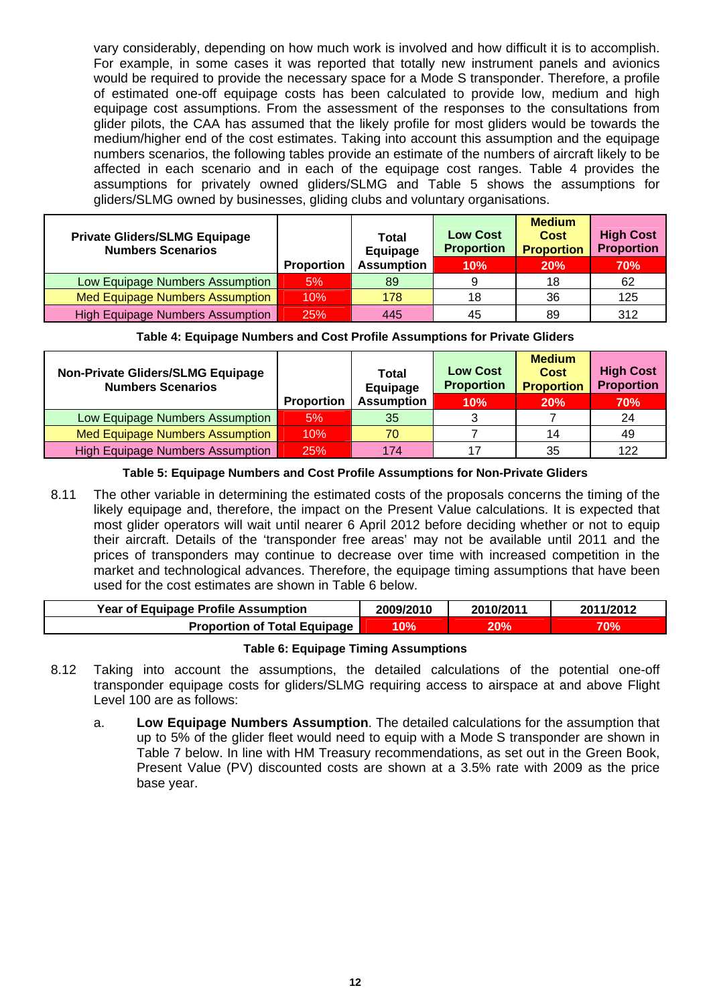<span id="page-18-0"></span>vary considerably, depending on how much work is involved and how difficult it is to accomplish. For example, in some cases it was reported that totally new instrument panels and avionics would be required to provide the necessary space for a Mode S transponder. Therefore, a profile of estimated one-off equipage costs has been calculated to provide low, medium and high equipage cost assumptions. From the assessment of the responses to the consultations from glider pilots, the CAA has assumed that the likely profile for most gliders would be towards the medium/higher end of the cost estimates. Taking into account this assumption and the equipage numbers scenarios, the following tables provide an estimate of the numbers of aircraft likely to be affected in each scenario and in each of the equipage cost ranges. [Table 4](#page-18-0) provides the assumptions for privately owned gliders/SLMG and [Table 5](#page-18-0) shows the assumptions for gliders/SLMG owned by businesses, gliding clubs and voluntary organisations.

| <b>Private Gliders/SLMG Equipage</b><br><b>Numbers Scenarios</b> |                   | Total<br>Equipage | <b>Low Cost</b><br><b>Proportion</b> | <b>Medium</b><br>Cost<br><b>Proportion</b> | <b>High Cost</b><br><b>Proportion</b> |
|------------------------------------------------------------------|-------------------|-------------------|--------------------------------------|--------------------------------------------|---------------------------------------|
|                                                                  | <b>Proportion</b> | <b>Assumption</b> | 10%                                  | 20%                                        | 70%                                   |
| Low Equipage Numbers Assumption                                  | 5%                | 89                | 9                                    | 18                                         | 62                                    |
| Med Equipage Numbers Assumption                                  | 10%               | 178               | 18                                   | 36                                         | 125                                   |
| <b>High Equipage Numbers Assumption</b>                          | 25%               | 445               | 45                                   | 89                                         | 312                                   |

**Table 4: Equipage Numbers and Cost Profile Assumptions for Private Gliders** 

| <b>Non-Private Gliders/SLMG Equipage</b><br><b>Numbers Scenarios</b> |                   | <b>Total</b><br>Equipage | <b>Low Cost</b><br><b>Proportion</b> | <b>Medium</b><br>Cost<br><b>Proportion</b> | <b>High Cost</b><br><b>Proportion</b> |
|----------------------------------------------------------------------|-------------------|--------------------------|--------------------------------------|--------------------------------------------|---------------------------------------|
|                                                                      | <b>Proportion</b> | <b>Assumption</b>        | 10%                                  | 20%                                        | 70%                                   |
| Low Equipage Numbers Assumption                                      | 5%                | 35                       |                                      |                                            | 24                                    |
| <b>Med Equipage Numbers Assumption</b>                               | 10%               | 70                       |                                      | 14                                         | 49                                    |
| <b>High Equipage Numbers Assumption</b>                              | 25%               | 174                      |                                      | 35                                         | 122                                   |

#### **Table 5: Equipage Numbers and Cost Profile Assumptions for Non-Private Gliders**

8.11 The other variable in determining the estimated costs of the proposals concerns the timing of the likely equipage and, therefore, the impact on the Present Value calculations. It is expected that most glider operators will wait until nearer 6 April 2012 before deciding whether or not to equip their aircraft. Details of the 'transponder free areas' may not be available until 2011 and the prices of transponders may continue to decrease over time with increased competition in the market and technological advances. Therefore, the equipage timing assumptions that have been used for the cost estimates are shown in [Table 6](#page-18-0) below.

| <b>Year of Equipage Profile Assumption</b> | 2009/2010 | 2010/2011  | 2011/2012  |
|--------------------------------------------|-----------|------------|------------|
| <b>Proportion of Total Equipage</b>        | 10%       | <b>20%</b> | <b>10%</b> |

#### **Table 6: Equipage Timing Assumptions**

- 8.12 Taking into account the assumptions, the detailed calculations of the potential one-off transponder equipage costs for gliders/SLMG requiring access to airspace at and above Flight Level 100 are as follows:
	- a. **Low Equipage Numbers Assumption**. The detailed calculations for the assumption that up to 5% of the glider fleet would need to equip with a Mode S transponder are shown in [Table 7](#page-19-0) below. In line with HM Treasury recommendations, as set out in the Green Book, Present Value (PV) discounted costs are shown at a 3.5% rate with 2009 as the price base year.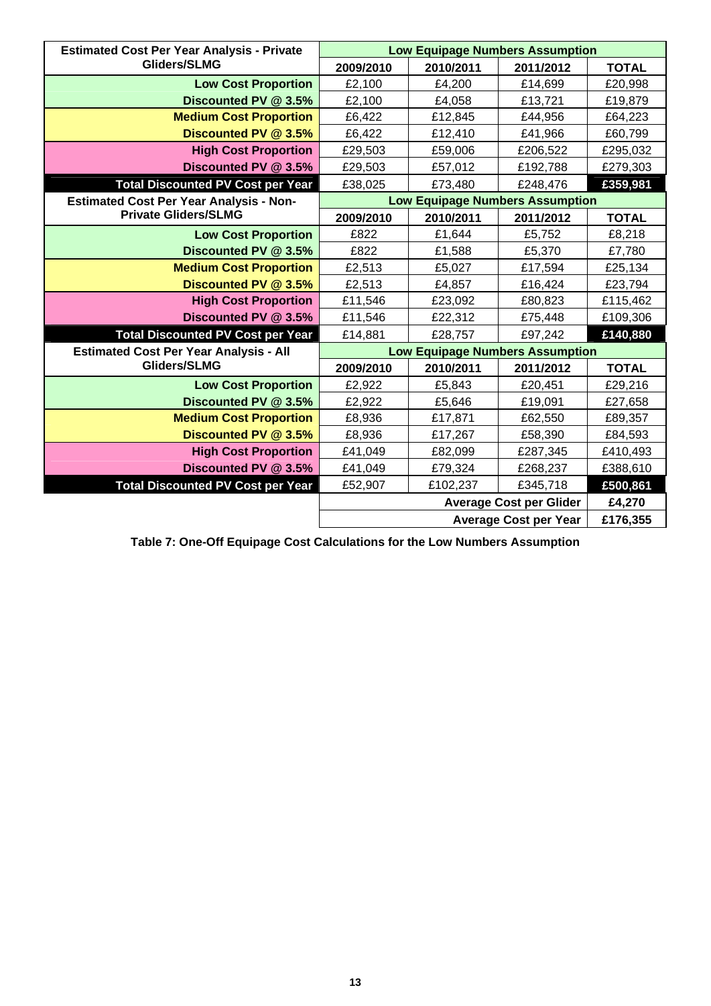<span id="page-19-0"></span>

| <b>Estimated Cost Per Year Analysis - Private</b> | <b>Low Equipage Numbers Assumption</b> |           |           |              |
|---------------------------------------------------|----------------------------------------|-----------|-----------|--------------|
| Gliders/SLMG                                      | 2009/2010                              | 2010/2011 | 2011/2012 | <b>TOTAL</b> |
| <b>Low Cost Proportion</b>                        | £2,100                                 | £4,200    | £14,699   | £20,998      |
| Discounted PV @ 3.5%                              | £2,100                                 | £4,058    | £13,721   | £19,879      |
| <b>Medium Cost Proportion</b>                     | £6,422                                 | £12,845   | £44,956   | £64,223      |
| Discounted PV @ 3.5%                              | £6,422                                 | £12,410   | £41,966   | £60,799      |
| <b>High Cost Proportion</b>                       | £29,503                                | £59,006   | £206,522  | £295,032     |
| Discounted PV @ 3.5%                              | £29,503                                | £57,012   | £192,788  | £279,303     |
| <b>Total Discounted PV Cost per Year</b>          | £38,025                                | £73,480   | £248,476  | £359,981     |
| <b>Estimated Cost Per Year Analysis - Non-</b>    | <b>Low Equipage Numbers Assumption</b> |           |           |              |
| <b>Private Gliders/SLMG</b>                       | 2009/2010                              | 2010/2011 | 2011/2012 | <b>TOTAL</b> |
| <b>Low Cost Proportion</b>                        | £822                                   | £1,644    | £5,752    | £8,218       |
| Discounted PV @ 3.5%                              | £822                                   | £1,588    | £5,370    | £7,780       |
| <b>Medium Cost Proportion</b>                     | £2,513                                 | £5,027    | £17,594   | £25,134      |
| Discounted PV @ 3.5%                              | £2,513                                 | £4,857    | £16,424   | £23,794      |
| <b>High Cost Proportion</b>                       | £11,546                                | £23,092   | £80,823   | £115,462     |
| Discounted PV @ 3.5%                              | £11,546                                | £22,312   | £75,448   | £109,306     |
| <b>Total Discounted PV Cost per Year</b>          | £14,881                                | £28,757   | £97,242   | £140,880     |
| <b>Estimated Cost Per Year Analysis - All</b>     | <b>Low Equipage Numbers Assumption</b> |           |           |              |
| Gliders/SLMG                                      | 2009/2010                              | 2010/2011 | 2011/2012 | <b>TOTAL</b> |
| <b>Low Cost Proportion</b>                        | £2,922                                 | £5,843    | £20,451   | £29,216      |
| Discounted PV @ 3.5%                              | £2,922                                 | £5,646    | £19,091   | £27,658      |
| <b>Medium Cost Proportion</b>                     | £8,936                                 | £17,871   | £62,550   | £89,357      |
| Discounted PV @ 3.5%                              | £8,936                                 | £17,267   | £58,390   | £84,593      |
| <b>High Cost Proportion</b>                       | £41,049                                | £82,099   | £287,345  | £410,493     |
| Discounted PV @ 3.5%                              | £41,049                                | £79,324   | £268,237  | £388,610     |
| <b>Total Discounted PV Cost per Year</b>          | £52,907                                | £102,237  | £345,718  | £500,861     |
|                                                   | <b>Average Cost per Glider</b>         |           |           | £4,270       |
|                                                   | <b>Average Cost per Year</b>           |           |           | £176,355     |

**Table 7: One-Off Equipage Cost Calculations for the Low Numbers Assumption**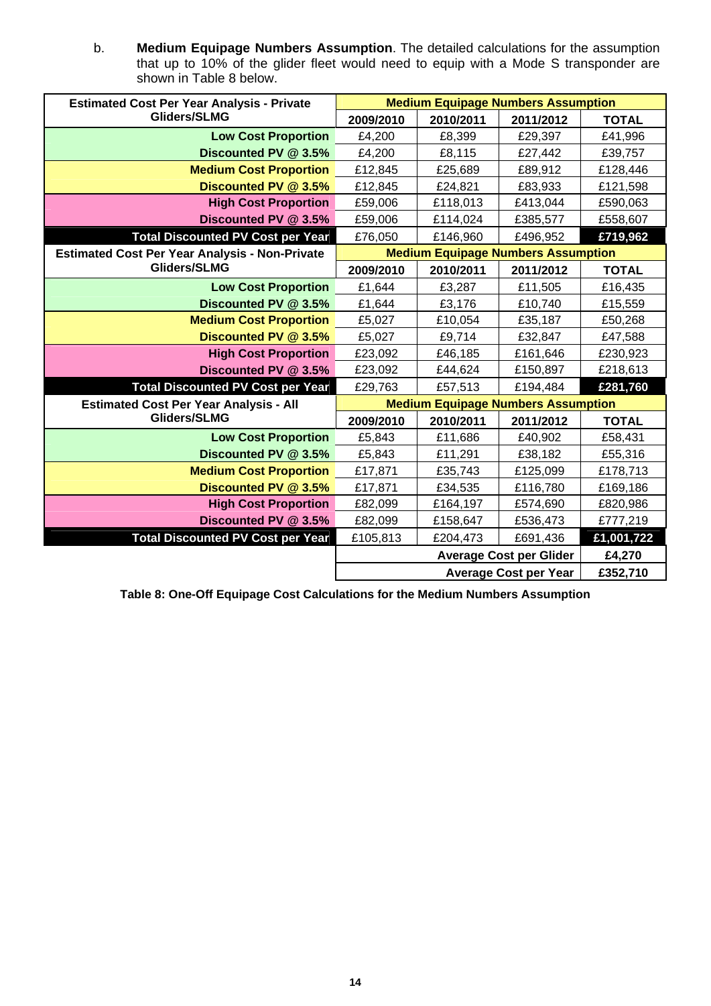<span id="page-20-0"></span>b. **Medium Equipage Numbers Assumption**. The detailed calculations for the assumption that up to 10% of the glider fleet would need to equip with a Mode S transponder are shown in [Table 8](#page-20-0) below.

| <b>Estimated Cost Per Year Analysis - Private</b>     | <b>Medium Equipage Numbers Assumption</b> |           |           |              |
|-------------------------------------------------------|-------------------------------------------|-----------|-----------|--------------|
| Gliders/SLMG                                          | 2009/2010                                 | 2010/2011 | 2011/2012 | <b>TOTAL</b> |
| <b>Low Cost Proportion</b>                            | £4,200                                    | £8,399    | £29,397   | £41,996      |
| Discounted PV @ 3.5%                                  | £4,200                                    | £8,115    | £27,442   | £39,757      |
| <b>Medium Cost Proportion</b>                         | £12,845                                   | £25,689   | £89,912   | £128,446     |
| Discounted PV @ 3.5%                                  | £12,845                                   | £24,821   | £83,933   | £121,598     |
| <b>High Cost Proportion</b>                           | £59,006                                   | £118,013  | £413,044  | £590,063     |
| Discounted PV @ 3.5%                                  | £59,006                                   | £114,024  | £385,577  | £558,607     |
| <b>Total Discounted PV Cost per Year</b>              | £76,050                                   | £146,960  | £496,952  | £719,962     |
| <b>Estimated Cost Per Year Analysis - Non-Private</b> | <b>Medium Equipage Numbers Assumption</b> |           |           |              |
| Gliders/SLMG                                          | 2009/2010                                 | 2010/2011 | 2011/2012 | <b>TOTAL</b> |
| <b>Low Cost Proportion</b>                            | £1,644                                    | £3,287    | £11,505   | £16,435      |
| Discounted PV @ 3.5%                                  | £1,644                                    | £3,176    | £10,740   | £15,559      |
| <b>Medium Cost Proportion</b>                         | £5,027                                    | £10,054   | £35,187   | £50,268      |
| Discounted PV @ 3.5%                                  | £5,027                                    | £9,714    | £32,847   | £47,588      |
| <b>High Cost Proportion</b>                           | £23,092                                   | £46,185   | £161,646  | £230,923     |
| Discounted PV @ 3.5%                                  | £23,092                                   | £44,624   | £150,897  | £218,613     |
| <b>Total Discounted PV Cost per Year</b>              | £29,763                                   | £57,513   | £194,484  | £281,760     |
| <b>Estimated Cost Per Year Analysis - All</b>         | <b>Medium Equipage Numbers Assumption</b> |           |           |              |
| Gliders/SLMG                                          | 2009/2010                                 | 2010/2011 | 2011/2012 | <b>TOTAL</b> |
| <b>Low Cost Proportion</b>                            | £5,843                                    | £11,686   | £40,902   | £58,431      |
| Discounted PV @ 3.5%                                  | £5,843                                    | £11,291   | £38,182   | £55,316      |
| <b>Medium Cost Proportion</b>                         | £17,871                                   | £35,743   | £125,099  | £178,713     |
| Discounted PV @ 3.5%                                  | £17,871                                   | £34,535   | £116,780  | £169,186     |
| <b>High Cost Proportion</b>                           | £82,099                                   | £164,197  | £574,690  | £820,986     |
| Discounted PV @ 3.5%                                  | £82,099                                   | £158,647  | £536,473  | £777,219     |
| <b>Total Discounted PV Cost per Year</b>              | £105,813                                  | £204,473  | £691,436  | £1,001,722   |
|                                                       | <b>Average Cost per Glider</b>            |           |           | £4,270       |
|                                                       | <b>Average Cost per Year</b>              |           |           | £352,710     |

**Table 8: One-Off Equipage Cost Calculations for the Medium Numbers Assumption**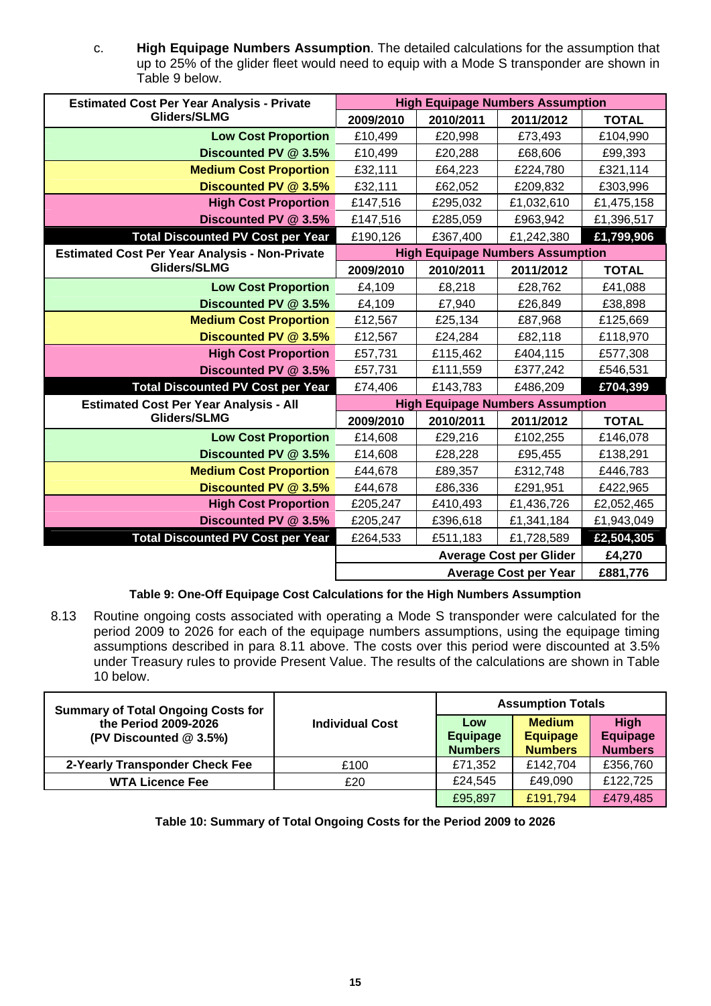c. **High Equipage Numbers Assumption**. The detailed calculations for the assumption that up to 25% of the glider fleet would need to equip with a Mode S transponder are shown in [Table 9](#page-21-0) below.

<span id="page-21-0"></span>

| <b>Estimated Cost Per Year Analysis - Private</b>     | <b>High Equipage Numbers Assumption</b> |           |            |              |
|-------------------------------------------------------|-----------------------------------------|-----------|------------|--------------|
| Gliders/SLMG                                          | 2009/2010                               | 2010/2011 | 2011/2012  | <b>TOTAL</b> |
| <b>Low Cost Proportion</b>                            | £10,499                                 | £20,998   | £73,493    | £104,990     |
| Discounted PV @ 3.5%                                  | £10,499                                 | £20,288   | £68,606    | £99,393      |
| <b>Medium Cost Proportion</b>                         | £32,111                                 | £64,223   | £224,780   | £321,114     |
| Discounted PV @ 3.5%                                  | £32,111                                 | £62,052   | £209,832   | £303,996     |
| <b>High Cost Proportion</b>                           | £147,516                                | £295,032  | £1,032,610 | £1,475,158   |
| Discounted PV @ 3.5%                                  | £147,516                                | £285,059  | £963,942   | £1,396,517   |
| <b>Total Discounted PV Cost per Year</b>              | £190,126                                | £367,400  | £1,242,380 | £1,799,906   |
| <b>Estimated Cost Per Year Analysis - Non-Private</b> | <b>High Equipage Numbers Assumption</b> |           |            |              |
| Gliders/SLMG                                          | 2009/2010                               | 2010/2011 | 2011/2012  | <b>TOTAL</b> |
| <b>Low Cost Proportion</b>                            | £4,109                                  | £8,218    | £28,762    | £41,088      |
| Discounted PV @ 3.5%                                  | £4,109                                  | £7,940    | £26,849    | £38,898      |
| <b>Medium Cost Proportion</b>                         | £12,567                                 | £25,134   | £87,968    | £125,669     |
| Discounted PV @ 3.5%                                  | £12,567                                 | £24,284   | £82,118    | £118,970     |
| <b>High Cost Proportion</b>                           | £57,731                                 | £115,462  | £404,115   | £577,308     |
| Discounted PV @ 3.5%                                  | £57,731                                 | £111,559  | £377,242   | £546,531     |
| <b>Total Discounted PV Cost per Year</b>              | £74,406                                 | £143,783  | £486,209   | £704,399     |
| <b>Estimated Cost Per Year Analysis - All</b>         | <b>High Equipage Numbers Assumption</b> |           |            |              |
| Gliders/SLMG                                          | 2009/2010                               | 2010/2011 | 2011/2012  | <b>TOTAL</b> |
| <b>Low Cost Proportion</b>                            | £14,608                                 | £29,216   | £102,255   | £146,078     |
| Discounted PV @ 3.5%                                  | £14,608                                 | £28,228   | £95,455    | £138,291     |
| <b>Medium Cost Proportion</b>                         | £44,678                                 | £89,357   | £312,748   | £446,783     |
| Discounted PV @ 3.5%                                  | £44,678                                 | £86,336   | £291,951   | £422,965     |
| <b>High Cost Proportion</b>                           | £205,247                                | £410,493  | £1,436,726 | £2,052,465   |
| Discounted PV @ 3.5%                                  | £205,247                                | £396,618  | £1,341,184 | £1,943,049   |
| <b>Total Discounted PV Cost per Year</b>              | £264,533                                | £511,183  | £1,728,589 | £2,504,305   |
|                                                       | <b>Average Cost per Glider</b>          |           |            | £4,270       |
|                                                       | <b>Average Cost per Year</b>            |           |            | £881,776     |

# **Table 9: One-Off Equipage Cost Calculations for the High Numbers Assumption**

8.13 Routine ongoing costs associated with operating a Mode S transponder were calculated for the period 2009 to 2026 for each of the equipage numbers assumptions, using the equipage timing assumptions described in para 8.11 above. The costs over this period were discounted at 3.5% under Treasury rules to provide Present Value. The results of the calculations are shown in [Table](#page-21-0)  [10](#page-21-0) below.

| <b>Summary of Total Ongoing Costs for</b><br>the Period 2009-2026<br>(PV Discounted @ 3.5%) |                        | <b>Assumption Totals</b>                 |                                                    |                                                  |
|---------------------------------------------------------------------------------------------|------------------------|------------------------------------------|----------------------------------------------------|--------------------------------------------------|
|                                                                                             | <b>Individual Cost</b> | Low<br><b>Equipage</b><br><b>Numbers</b> | <b>Medium</b><br><b>Equipage</b><br><b>Numbers</b> | <b>High</b><br><b>Equipage</b><br><b>Numbers</b> |
| 2-Yearly Transponder Check Fee                                                              | £100                   | £71,352                                  | £142,704                                           | £356,760                                         |
| <b>WTA Licence Fee</b>                                                                      | £20                    | £24,545                                  | £49,090                                            | £122,725                                         |
|                                                                                             |                        | £95,897                                  | £191,794                                           | £479,485                                         |

**Table 10: Summary of Total Ongoing Costs for the Period 2009 to 2026**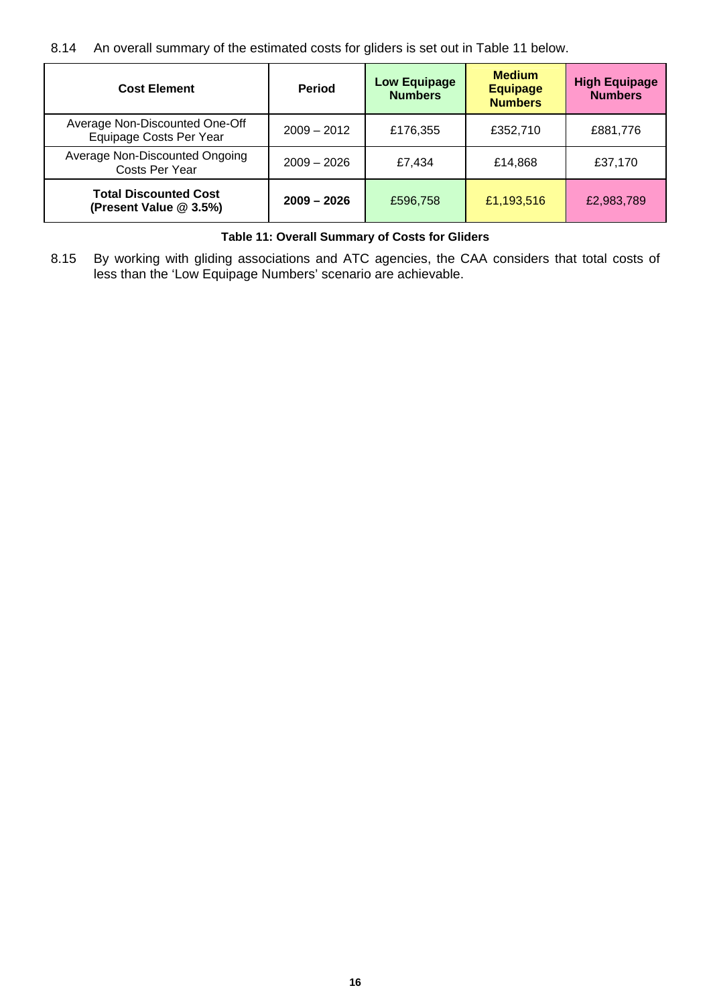#### <span id="page-22-0"></span>8.14 An overall summary of the estimated costs for gliders is set out in [Table 11](#page-22-0) below.

| <b>Cost Element</b>                                       | <b>Period</b> | <b>Low Equipage</b><br><b>Numbers</b> | <b>Medium</b><br><b>Equipage</b><br><b>Numbers</b> | <b>High Equipage</b><br><b>Numbers</b> |
|-----------------------------------------------------------|---------------|---------------------------------------|----------------------------------------------------|----------------------------------------|
| Average Non-Discounted One-Off<br>Equipage Costs Per Year | $2009 - 2012$ | £176,355                              | £352,710                                           | £881,776                               |
| Average Non-Discounted Ongoing<br>Costs Per Year          | $2009 - 2026$ | £7,434                                | £14,868                                            | £37,170                                |
| <b>Total Discounted Cost</b><br>(Present Value @ 3.5%)    | $2009 - 2026$ | £596,758                              | £1,193,516                                         | £2,983,789                             |

#### **Table 11: Overall Summary of Costs for Gliders**

8.15 By working with gliding associations and ATC agencies, the CAA considers that total costs of less than the 'Low Equipage Numbers' scenario are achievable.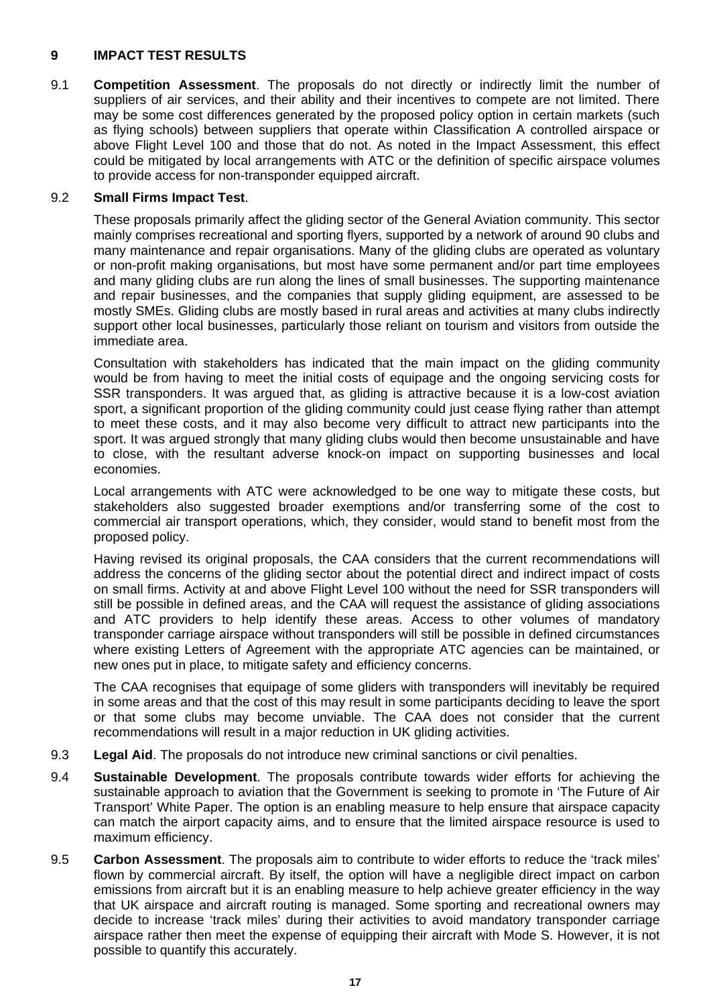# **9 IMPACT TEST RESULTS**

9.1 **Competition Assessment**. The proposals do not directly or indirectly limit the number of suppliers of air services, and their ability and their incentives to compete are not limited. There may be some cost differences generated by the proposed policy option in certain markets (such as flying schools) between suppliers that operate within Classification A controlled airspace or above Flight Level 100 and those that do not. As noted in the Impact Assessment, this effect could be mitigated by local arrangements with ATC or the definition of specific airspace volumes to provide access for non-transponder equipped aircraft.

#### 9.2 **Small Firms Impact Test**.

These proposals primarily affect the gliding sector of the General Aviation community. This sector mainly comprises recreational and sporting flyers, supported by a network of around 90 clubs and many maintenance and repair organisations. Many of the gliding clubs are operated as voluntary or non-profit making organisations, but most have some permanent and/or part time employees and many gliding clubs are run along the lines of small businesses. The supporting maintenance and repair businesses, and the companies that supply gliding equipment, are assessed to be mostly SMEs. Gliding clubs are mostly based in rural areas and activities at many clubs indirectly support other local businesses, particularly those reliant on tourism and visitors from outside the immediate area.

Consultation with stakeholders has indicated that the main impact on the gliding community would be from having to meet the initial costs of equipage and the ongoing servicing costs for SSR transponders. It was argued that, as gliding is attractive because it is a low-cost aviation sport, a significant proportion of the gliding community could just cease flying rather than attempt to meet these costs, and it may also become very difficult to attract new participants into the sport. It was argued strongly that many gliding clubs would then become unsustainable and have to close, with the resultant adverse knock-on impact on supporting businesses and local economies.

Local arrangements with ATC were acknowledged to be one way to mitigate these costs, but stakeholders also suggested broader exemptions and/or transferring some of the cost to commercial air transport operations, which, they consider, would stand to benefit most from the proposed policy.

Having revised its original proposals, the CAA considers that the current recommendations will address the concerns of the gliding sector about the potential direct and indirect impact of costs on small firms. Activity at and above Flight Level 100 without the need for SSR transponders will still be possible in defined areas, and the CAA will request the assistance of gliding associations and ATC providers to help identify these areas. Access to other volumes of mandatory transponder carriage airspace without transponders will still be possible in defined circumstances where existing Letters of Agreement with the appropriate ATC agencies can be maintained, or new ones put in place, to mitigate safety and efficiency concerns.

The CAA recognises that equipage of some gliders with transponders will inevitably be required in some areas and that the cost of this may result in some participants deciding to leave the sport or that some clubs may become unviable. The CAA does not consider that the current recommendations will result in a major reduction in UK gliding activities.

- 9.3 **Legal Aid**. The proposals do not introduce new criminal sanctions or civil penalties.
- 9.4 **Sustainable Development**. The proposals contribute towards wider efforts for achieving the sustainable approach to aviation that the Government is seeking to promote in 'The Future of Air Transport' White Paper. The option is an enabling measure to help ensure that airspace capacity can match the airport capacity aims, and to ensure that the limited airspace resource is used to maximum efficiency.
- 9.5 **Carbon Assessment**. The proposals aim to contribute to wider efforts to reduce the 'track miles' flown by commercial aircraft. By itself, the option will have a negligible direct impact on carbon emissions from aircraft but it is an enabling measure to help achieve greater efficiency in the way that UK airspace and aircraft routing is managed. Some sporting and recreational owners may decide to increase 'track miles' during their activities to avoid mandatory transponder carriage airspace rather then meet the expense of equipping their aircraft with Mode S. However, it is not possible to quantify this accurately.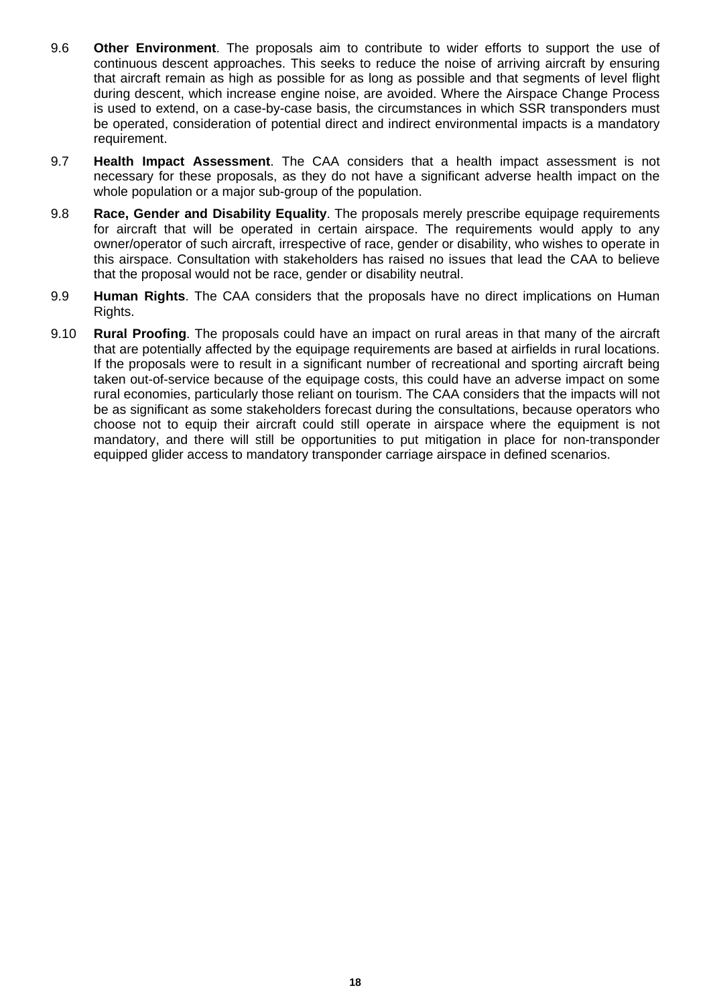- 9.6 **Other Environment**. The proposals aim to contribute to wider efforts to support the use of continuous descent approaches. This seeks to reduce the noise of arriving aircraft by ensuring that aircraft remain as high as possible for as long as possible and that segments of level flight during descent, which increase engine noise, are avoided. Where the Airspace Change Process is used to extend, on a case-by-case basis, the circumstances in which SSR transponders must be operated, consideration of potential direct and indirect environmental impacts is a mandatory requirement.
- 9.7 **Health Impact Assessment**. The CAA considers that a health impact assessment is not necessary for these proposals, as they do not have a significant adverse health impact on the whole population or a major sub-group of the population.
- 9.8 **Race, Gender and Disability Equality**. The proposals merely prescribe equipage requirements for aircraft that will be operated in certain airspace. The requirements would apply to any owner/operator of such aircraft, irrespective of race, gender or disability, who wishes to operate in this airspace. Consultation with stakeholders has raised no issues that lead the CAA to believe that the proposal would not be race, gender or disability neutral.
- 9.9 **Human Rights**. The CAA considers that the proposals have no direct implications on Human Rights.
- 9.10 **Rural Proofing**. The proposals could have an impact on rural areas in that many of the aircraft that are potentially affected by the equipage requirements are based at airfields in rural locations. If the proposals were to result in a significant number of recreational and sporting aircraft being taken out-of-service because of the equipage costs, this could have an adverse impact on some rural economies, particularly those reliant on tourism. The CAA considers that the impacts will not be as significant as some stakeholders forecast during the consultations, because operators who choose not to equip their aircraft could still operate in airspace where the equipment is not mandatory, and there will still be opportunities to put mitigation in place for non-transponder equipped glider access to mandatory transponder carriage airspace in defined scenarios.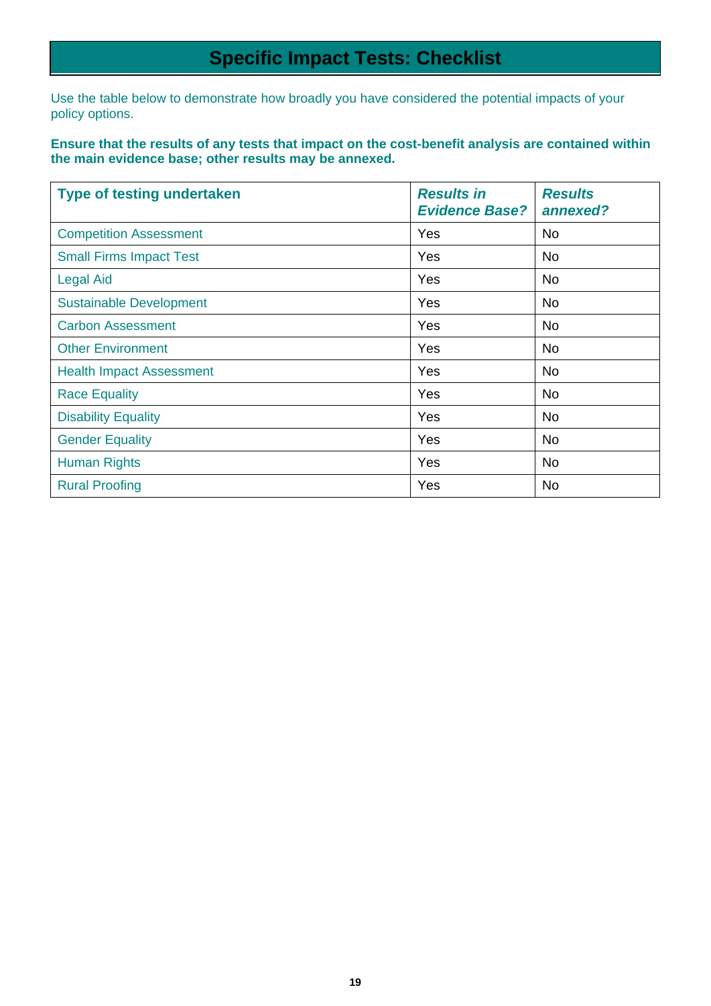# **Specific Impact Tests: Checklist**

Use the table below to demonstrate how broadly you have considered the potential impacts of your policy options.

**Ensure that the results of any tests that impact on the cost-benefit analysis are contained within the main evidence base; other results may be annexed.** 

| <b>Type of testing undertaken</b> | <b>Results in</b><br><b>Evidence Base?</b> | <b>Results</b><br>annexed? |
|-----------------------------------|--------------------------------------------|----------------------------|
| <b>Competition Assessment</b>     | Yes                                        | <b>No</b>                  |
| <b>Small Firms Impact Test</b>    | Yes                                        | No                         |
| <b>Legal Aid</b>                  | Yes                                        | No                         |
| <b>Sustainable Development</b>    | Yes                                        | <b>No</b>                  |
| <b>Carbon Assessment</b>          | Yes                                        | <b>No</b>                  |
| <b>Other Environment</b>          | Yes                                        | <b>No</b>                  |
| <b>Health Impact Assessment</b>   | Yes                                        | <b>No</b>                  |
| <b>Race Equality</b>              | Yes                                        | <b>No</b>                  |
| <b>Disability Equality</b>        | Yes                                        | <b>No</b>                  |
| <b>Gender Equality</b>            | Yes                                        | <b>No</b>                  |
| <b>Human Rights</b>               | Yes                                        | <b>No</b>                  |
| <b>Rural Proofing</b>             | Yes                                        | No                         |